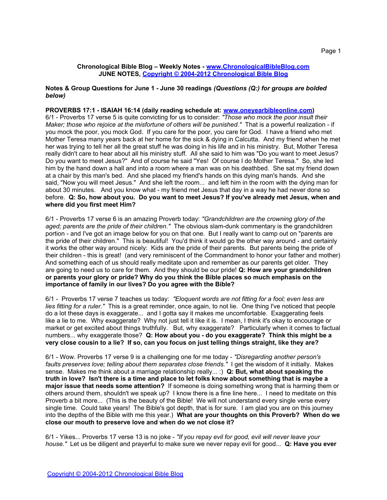#### **Notes & Group Questions for June 1 - June 30 readings** *(Questions (Q:) for groups are bolded below)*

# **PROVERBS 17:1 - ISAIAH 16:14 (daily reading schedule at: [www.oneyearbibleonline.com](http://www.oneyearbibleonline.com))**

6/1 - Proverbs 17 verse 5 is quite convicting for us to consider: *"Those who mock the poor insult their Maker; those who rejoice at the misfortune of others will be punished."* That is a powerful realization - if you mock the poor, you mock God. If you care for the poor, you care for God. I have a friend who met Mother Teresa many years back at her home for the sick & dying in Calcutta. And my friend when he met her was trying to tell her all the great stuff he was doing in his life and in his ministry. But, Mother Teresa really didn't care to hear about all his ministry stuff. All she said to him was "Do you want to meet Jesus? Do you want to meet Jesus?" And of course he said "Yes! Of course I do Mother Teresa." So, she led him by the hand down a hall and into a room where a man was on his deathbed. She sat my friend down at a chair by this man's bed. And she placed my friend's hands on this dying man's hands. And she said, "Now you will meet Jesus." And she left the room... and left him in the room with the dying man for about 30 minutes. And you know what - my friend met Jesus that day in a way he had never done so before. **Q: So, how about you. Do you want to meet Jesus? If you've already met Jesus, when and where did you first meet Him?**

6/1 - Proverbs 17 verse 6 is an amazing Proverb today: *"Grandchildren are the crowning glory of the aged; parents are the pride of their children."* The obvious slam-dunk commentary is the grandchildren portion - and I've got an image below for you on that one. But I really want to camp out on "parents are the pride of their children." This is beautiful! You'd think it would go the other way around - and certainly it works the other way around nicely: Kids are the pride of their parents. But parents being the pride of their children - this is great! (and very reminiscent of the Commandment to honor your father and mother) And something each of us should really meditate upon and remember as our parents get older. They are going to need us to care for them. And they should be our pride! **Q: How are your grandchildren or parents your glory or pride? Why do you think the Bible places so much emphasis on the importance of family in our lives? Do you agree with the Bible?**

6/1 - Proverbs 17 verse 7 teaches us today: *"Eloquent words are not fitting for a fool; even less are lies fitting for a ruler."* This is a great reminder, once again, to not lie. One thing I've noticed that people do a lot these days is exaggerate... and I gotta say it makes me uncomfortable. Exaggerating feels like a lie to me. Why exaggerate? Why not just tell it like it is. I mean, I think it's okay to encourage or market or get excited about things truthfully. But, why exaggerate? Particularly when it comes to factual numbers... why exaggerate those? **Q: How about you - do you exaggerate? Think this might be a very close cousin to a lie? If so, can you focus on just telling things straight, like they are?** 

6/1 - Wow. Proverbs 17 verse 9 is a challenging one for me today - *"Disregarding another person's faults preserves love; telling about them separates close friends."* I get the wisdom of it initially. Makes sense. Makes me think about a marriage relationship really... :) **Q: But, what about speaking the truth in love? Isn't there is a time and place to let folks know about something that is maybe a major issue that needs some attention?** If someone is doing something wrong that is harming them or others around them, shouldn't we speak up? I know there is a fine line here... I need to meditate on this Proverb a bit more... (This is the beauty of the Bible! We will not understand every single verse every single time. Could take years! The Bible's got depth, that is for sure. I am glad you are on this journey into the depths of the Bible with me this year.) **What are your thoughts on this Proverb? When do we close our mouth to preserve love and when do we not close it?**

6/1 - Yikes... Proverbs 17 verse 13 is no joke - *"If you repay evil for good, evil will never leave your house."* Let us be diligent and prayerful to make sure we never repay evil for good... **Q: Have you ever**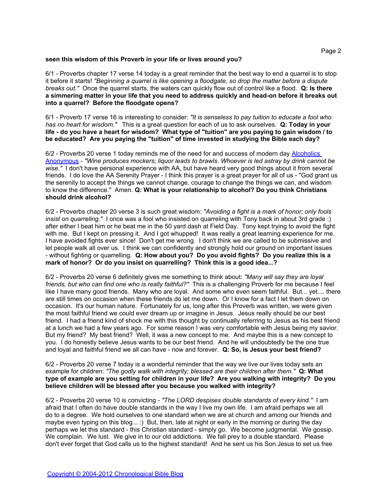#### **seen this wisdom of this Proverb in your life or lives around you?**

6/1 - Proverbs chapter 17 verse 14 today is a great reminder that the best way to end a quarrel is to stop it before it starts! *"Beginning a quarrel is like opening a floodgate, so drop the matter before a dispute breaks out."* Once the quarrel starts, the waters can quickly flow out of control like a flood. **Q: Is there a simmering matter in your life that you need to address quickly and head-on before it breaks out into a quarrel? Before the floodgate opens?**

6/1 - Proverb 17 verse 16 is interesting to consider: *"It is senseless to pay tuition to educate a fool who has no heart for wisdom."* This is a great question for each of us to ask ourselves. **Q: Today in your life - do you have a heart for wisdom? What type of "tuition" are you paying to gain wisdom / to be educated? Are you paying the "tuition" of time invested in studying the Bible each day?**

6/2 - Proverbs 20 verse 1 today reminds me of the need for and success of modern day [Alcoholics](http://www.alcoholics-anonymous.org/) [Anonymous](http://www.alcoholics-anonymous.org/) - *"Wine produces mockers; liquor leads to brawls. Whoever is led astray by drink cannot be wise."* I don't have personal experience with AA, but have heard very good things about it from several friends. I do love the AA Serenity Prayer - I think this prayer is a great prayer for all of us - "God grant us the serenity to accept the things we cannot change, courage to change the things we can, and wisdom to know the difference." Amen. **Q: What is your relationship to alcohol? Do you think Christians should drink alcohol?**

6/2 - Proverbs chapter 20 verse 3 is such great wisdom: *"Avoiding a fight is a mark of honor; only fools insist on quarreling."* I once was a fool who insisted on quarreling with Tony back in about 3rd grade :) after either I beat him or he beat me in the 50 yard dash at Field Day. Tony kept trying to avoid the fight with me. But I kept on pressing it. And I got whupped! It was really a great learning experience for me. I have avoided fights ever since! Don't get me wrong. I don't think we are called to be submissive and let people walk all over us. I think we can confidently and strongly hold our ground on important issues - without fighting or quarrelling. **Q: How about you? Do you avoid fights? Do you realize this is a mark of honor? Or do you insist on quarrelling? Think this is a good idea...?**

6/2 - Proverbs 20 verse 6 definitely gives me something to think about: *"Many will say they are loyal friends, but who can find one who is really faithful?"* This is a challenging Proverb for me because I feel like I have many good friends. Many who are loyal. And some who even seem faithful. But... yet.... there are still times on occasion when these friends do let me down. Or I know for a fact I let them down on occasion. It's our human nature. Fortunately for us, long after this Proverb was written, we were given the most faithful friend we could ever dream up or imagine in Jesus. Jesus really should be our best friend. I had a friend kind of shock me with this thought by continually referring to Jesus as his best friend at a lunch we had a few years ago. For some reason I was very comfortable with Jesus being my savior. But my friend? My best friend? Well, it was a new concept to me. And maybe this is a new concept to you. I do honestly believe Jesus wants to be our best friend. And he will undoubtedly be the one true and loyal and faithful friend we all can have - now and forever. **Q: So, is Jesus your best friend?**

#### 6/2 - Proverbs 20 verse 7 today is a wonderful reminder that the way we live our lives today sets an example for children: *"The godly walk with integrity; blessed are their children after them."* **Q: What type of example are you setting for children in your life? Are you walking with integrity? Do you believe children will be blessed after you because you walked with integrity?**

6/2 - Proverbs 20 verse 10 is convicting - *"The LORD despises double standards of every kind."* I am afraid that I often do have double standards in the way I live my own life. I am afraid perhaps we all do to a degree. We hold ourselves to one standard when we are at church and among our friends and maybe even typing on this blog... :) But, then, late at night or early in the morning or during the day perhaps we let this standard - this Christian standard - simply go. We become judgmental. We gossip. We complain. We lust. We give in to our old addictions. We fall prey to a double standard. Please don't ever forget that God calls us to the highest standard! And he sent us his Son Jesus to set us free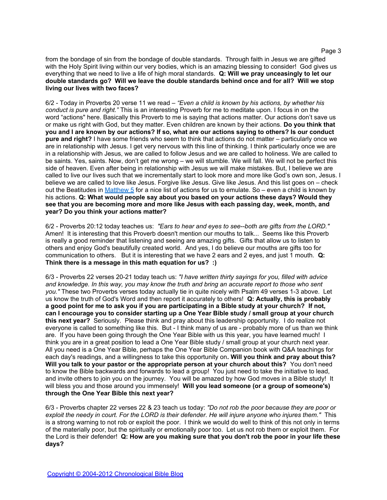from the bondage of sin from the bondage of double standards. Through faith in Jesus we are gifted with the Holy Spirit living within our very bodies, which is an amazing blessing to consider! God gives us everything that we need to live a life of high moral standards. **Q: Will we pray unceasingly to let our double standards go? Will we leave the double standards behind once and for all? Will we stop living our lives with two faces?**

6/2 - Today in Proverbs 20 verse 11 we read – *"Even a child is known by his actions, by whether his conduct is pure and right."* This is an interesting Proverb for me to meditate upon. I focus in on the word "actions" here. Basically this Proverb to me is saying that actions matter. Our actions don't save us or make us right with God, but they matter. Even children are known by their actions. **Do you think that you and I are known by our actions? If so, what are our actions saying to others? Is our conduct pure and right?** I have some friends who seem to think that actions do not matter – particularly once we are in relationship with Jesus. I get very nervous with this line of thinking. I think particularly once we are in a relationship with Jesus, we are called to follow Jesus and we are called to holiness. We are called to be saints. Yes, saints. Now, don't get me wrong – we will stumble. We will fall. We will not be perfect this side of heaven. Even after being in relationship with Jesus we will make mistakes. But, I believe we are called to live our lives such that we incrementally start to look more and more like God's own son, Jesus. I believe we are called to love like Jesus. Forgive like Jesus. Give like Jesus. And this list goes on – check out the Beatitudes in [Matthew 5](http://www.biblegateway.com/passage/?search=matthew+5) for a nice list of actions for us to emulate. So – even a child is known by his actions. **Q: What would people say about you based on your actions these days? Would they see that you are becoming more and more like Jesus with each passing day, week, month, and year? Do you think your actions matter?**

6/2 - Proverbs 20:12 today teaches us: *"Ears to hear and eyes to see--both are gifts from the LORD."* Amen! It is interesting that this Proverb doesn't mention our mouths to talk... Seems like this Proverb is really a good reminder that listening and seeing are amazing gifts. Gifts that allow us to listen to others and enjoy God's beautifully created world. And yes, I do believe our mouths are gifts too for communication to others. But it is interesting that we have 2 ears and 2 eyes, and just 1 mouth. **Q: Think there is a message in this math equation for us? :)**

6/3 - Proverbs 22 verses 20-21 today teach us: *"I have written thirty sayings for you, filled with advice and knowledge. In this way, you may know the truth and bring an accurate report to those who sent you."* These two Proverbs verses today actually tie in quite nicely with Psalm 49 verses 1-3 above. Let us know the truth of God's Word and then report it accurately to others! **Q: Actually, this is probably a good point for me to ask you if you are participating in a Bible study at your church? If not, can I encourage you to consider starting up a One Year Bible study / small group at your church this next year?** Seriously. Please think and pray about this leadership opportunity. I do realize not everyone is called to something like this. But - I think many of us are - probably more of us than we think are. If you have been going through the One Year Bible with us this year, you have learned much! I think you are in a great position to lead a One Year Bible study / small group at your church next year. All you need is a One Year Bible, perhaps the One Year Bible Companion book with Q&A teachings for each day's readings, and a willingness to take this opportunity on**. Will you think and pray about this? Will you talk to your pastor or the appropriate person at your church about this?** You don't need to know the Bible backwards and forwards to lead a group! You just need to take the initiative to lead, and invite others to join you on the journey. You will be amazed by how God moves in a Bible study! It will bless you and those around you immensely! **Will you lead someone (or a group of someone's) through the One Year Bible this next year?**

6/3 - Proverbs chapter 22 verses 22 & 23 teach us today: *"Do not rob the poor because they are poor or exploit the needy in court. For the LORD is their defender. He will injure anyone who injures them."* This is a strong warning to not rob or exploit the poor. I think we would do well to think of this not only in terms of the materially poor, but the spiritually or emotionally poor too. Let us not rob them or exploit them. For the Lord is their defender! **Q: How are you making sure that you don't rob the poor in your life these days?**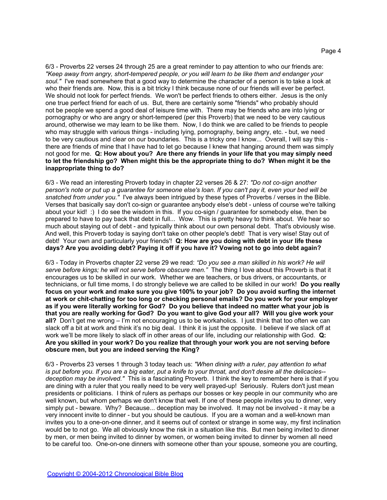6/3 - Proverbs 22 verses 24 through 25 are a great reminder to pay attention to who our friends are: *"Keep away from angry, short-tempered people, or you will learn to be like them and endanger your soul."* I've read somewhere that a good way to determine the character of a person is to take a look at who their friends are. Now, this is a bit tricky I think because none of our friends will ever be perfect. We should not look for perfect friends. We won't be perfect friends to others either. Jesus is the only one true perfect friend for each of us. But, there are certainly some "friends" who probably should not be people we spend a good deal of leisure time with. There may be friends who are into lying or pornography or who are angry or short-tempered (per this Proverb) that we need to be very cautious around, otherwise we may learn to be like them. Now, I do think we are called to be friends to people who may struggle with various things - including lying, pornography, being angry, etc. - but, we need to be very cautious and clear on our boundaries. This is a tricky one I know... Overall, I will say this there are friends of mine that I have had to let go because I knew that hanging around them was simply not good for me. **Q: How about you? Are there any friends in your life that you may simply need to let the friendship go? When might this be the appropriate thing to do? When might it be the inappropriate thing to do?**

6/3 - We read an interesting Proverb today in chapter 22 verses 26 & 27: *"Do not co-sign another person's note or put up a guarantee for someone else's loan. If you can't pay it, even your bed will be snatched from under you."* I've always been intrigued by these types of Proverbs / verses in the Bible. Verses that basically say don't co-sign or guarantee anybody else's debt - unless of course we're talking about your kid! :) I do see the wisdom in this. If you co-sign / guarantee for somebody else, then be prepared to have to pay back that debt in full... Wow. This is pretty heavy to think about. We hear so much about staying out of debt - and typically think about our own personal debt. That's obviously wise. And well, this Proverb today is saying don't take on other people's debt! That is very wise! Stay out of debt! Your own and particularly your friends'! **Q: How are you doing with debt in your life these days? Are you avoiding debt? Paying it off if you have it? Vowing not to go into debt again?**

6/3 - Today in Proverbs chapter 22 verse 29 we read: *"Do you see a man skilled in his work? He will serve before kings; he will not serve before obscure men."* The thing I love about this Proverb is that it encourages us to be skilled in our work. Whether we are teachers, or bus drivers, or accountants, or technicians, or full time moms, I do strongly believe we are called to be skilled in our work! **Do you really focus on your work and make sure you give 100% to your job? Do you avoid surfing the internet at work or chit-chatting for too long or checking personal emails? Do you work for your employer as if you were literally working for God? Do you believe that indeed no matter what your job is that you are really working for God? Do you want to give God your all? Will you give work your all?** Don't get me wrong – I'm not encouraging us to be workaholics. I just think that too often we can slack off a bit at work and think it's no big deal. I think it is just the opposite. I believe if we slack off at work we'll be more likely to slack off in other areas of our life, including our relationship with God. **Q: Are you skilled in your work? Do you realize that through your work you are not serving before obscure men, but you are indeed serving the King?**

6/3 - Proverbs 23 verses 1 through 3 today teach us: *"When dining with a ruler, pay attention to what is put before you. If you are a big eater, put a knife to your throat, and don't desire all the delicacies- deception may be involved."* This is a fascinating Proverb. I think the key to remember here is that if you are dining with a ruler that you really need to be very well prayed-up! Seriously. Rulers don't just mean presidents or politicians. I think of rulers as perhaps our bosses or key people in our community who are well known, but whom perhaps we don't know that well. If one of these people invites you to dinner, very simply put - beware. Why? Because... deception may be involved. It may not be involved - it may be a very innocent invite to dinner - but you should be cautious. If you are a woman and a well-known man invites you to a one-on-one dinner, and it seems out of context or strange in some way, my first inclination would be to not go. We all obviously know the risk in a situation like this. But men being invited to dinner by men, or men being invited to dinner by women, or women being invited to dinner by women all need to be careful too. One-on-one dinners with someone other than your spouse, someone you are courting,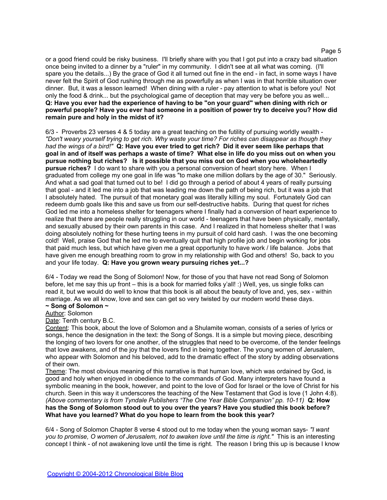or a good friend could be risky business. I'll briefly share with you that I got put into a crazy bad situation once being invited to a dinner by a "ruler" in my community. I didn't see at all what was coming. (I'll spare you the details...) By the grace of God it all turned out fine in the end - in fact, in some ways I have never felt the Spirit of God rushing through me as powerfully as when I was in that horrible situation over dinner. But, it was a lesson learned! When dining with a ruler - pay attention to what is before you! Not only the food & drink... but the psychological game of deception that may very be before you as well... **Q: Have you ever had the experience of having to be "on your guard" when dining with rich or powerful people? Have you ever had someone in a position of power try to deceive you? How did remain pure and holy in the midst of it?**

6/3 - Proverbs 23 verses 4 & 5 today are a great teaching on the futility of pursuing worldly wealth - *"Don't weary yourself trying to get rich. Why waste your time? For riches can disappear as though they had the wings of a bird!"* **Q: Have you ever tried to get rich? Did it ever seem like perhaps that goal in and of itself was perhaps a waste of time? What else in life do you miss out on when you pursue nothing but riches? Is it possible that you miss out on God when you wholeheartedly pursue riches?** I do want to share with you a personal conversion of heart story here. When I graduated from college my one goal in life was "to make one million dollars by the age of 30." Seriously. And what a sad goal that turned out to be! I did go through a period of about 4 years of really pursuing that goal - and it led me into a job that was leading me down the path of being rich, but it was a job that I absolutely hated. The pursuit of that monetary goal was literally killing my soul. Fortunately God can redeem dumb goals like this and save us from our self-destructive habits. During that quest for riches God led me into a homeless shelter for teenagers where I finally had a conversion of heart experience to realize that there are people really struggling in our world - teenagers that have been physically, mentally, and sexually abused by their own parents in this case. And I realized in that homeless shelter that I was doing absolutely nothing for these hurting teens in my pursuit of cold hard cash. I was the one becoming cold! Well, praise God that he led me to eventually quit that high profile job and begin working for jobs that paid much less, but which have given me a great opportunity to have work / life balance. Jobs that have given me enough breathing room to grow in my relationship with God and others! So, back to you and your life today. **Q: Have you grown weary pursuing riches yet...?**

6/4 - Today we read the Song of Solomon! Now, for those of you that have not read Song of Solomon before, let me say this up front – this is a book for married folks y'all! :) Well, yes, us single folks can read it, but we would do well to know that this book is all about the beauty of love and, yes, sex - within marriage. As we all know, love and sex can get so very twisted by our modern world these days.

# **~ Song of Solomon ~**

Author: Solomon

Date: Tenth century B.C.

Content: This book, about the love of Solomon and a Shulamite woman, consists of a series of lyrics or songs, hence the designation in the text: the Song of Songs. It is a simple but moving piece, describing the longing of two lovers for one another, of the struggles that need to be overcome, of the tender feelings that love awakens, and of the joy that the lovers find in being together. The young women of Jerusalem, who appear with Solomon and his beloved, add to the dramatic effect of the story by adding observations of their own.

Theme: The most obvious meaning of this narrative is that human love, which was ordained by God, is good and holy when enjoyed in obedience to the commands of God. Many interpreters have found a symbolic meaning in the book, however, and point to the love of God for Israel or the love of Christ for his church. Seen in this way it underscores the teaching of the New Testament that God is love (1 John 4:8). *(Above commentary is from Tyndale Publishers "The One Year Bible Companion" pp. 10-11)* **Q: How has the Song of Solomon stood out to you over the years? Have you studied this book before? What have you learned? What do you hope to learn from the book this year?**

6/4 - Song of Solomon Chapter 8 verse 4 stood out to me today when the young woman says- *"I want you to promise, O women of Jerusalem, not to awaken love until the time is right."* This is an interesting concept I think - of not awakening love until the time is right. The reason I bring this up is because I know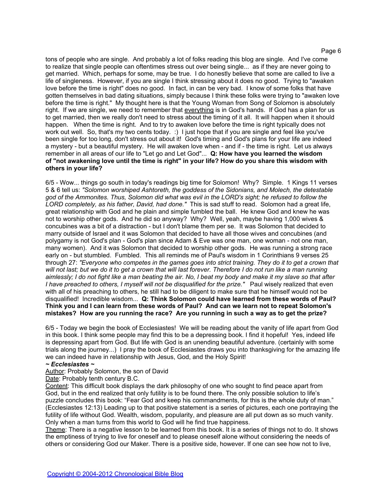tons of people who are single. And probably a lot of folks reading this blog are single. And I've come to realize that single people can oftentimes stress out over being single... as if they are never going to get married. Which, perhaps for some, may be true. I do honestly believe that some are called to live a life of singleness. However, if you are single I think stressing about it does no good. Trying to "awaken love before the time is right" does no good. In fact, in can be very bad. I know of some folks that have gotten themselves in bad dating situations, simply because I think these folks were trying to "awaken love before the time is right." My thought here is that the Young Woman from Song of Solomon is absolutely right. If we are single, we need to remember that everything is in God's hands. If God has a plan for us to get married, then we really don't need to stress about the timing of it all. It will happen when it should happen. When the time is right. And to try to awaken love before the time is right typically does not work out well. So, that's my two cents today. :) I just hope that if you are single and feel like you've been single for too long, don't stress out about it! God's timing and God's plans for your life are indeed a mystery - but a beautiful mystery. He will awaken love when - and if - the time is right. Let us always remember in all areas of our life to "Let go and Let God"... **Q: How have you learned the wisdom of "not awakening love until the time is right" in your life? How do you share this wisdom with others in your life?**

6/5 - Wow... things go south in today's readings big time for Solomon! Why? Simple. 1 Kings 11 verses 5 & 6 tell us: *"Solomon worshiped Ashtoreth, the goddess of the Sidonians, and Molech, the detestable god of the Ammonites. Thus, Solomon did what was evil in the LORD's sight; he refused to follow the LORD completely, as his father, David, had done."* This is sad stuff to read. Solomon had a great life, great relationship with God and he plain and simple fumbled the ball. He knew God and knew he was not to worship other gods. And he did so anyway? Why? Well, yeah, maybe having 1,000 wives & concubines was a bit of a distraction - but I don't blame them per se. It was Solomon that decided to marry outside of Israel and it was Solomon that decided to have all those wives and concubines (and polygamy is not God's plan - God's plan since Adam & Eve was one man, one woman - not one man, many women). And it was Solomon that decided to worship other gods. He was running a strong race early on - but stumbled. Fumbled. This all reminds me of Paul's wisdom in 1 Corinthians 9 verses 25 through 27: *"Everyone who competes in the games goes into strict training. They do it to get a crown that will not last; but we do it to get a crown that will last forever. Therefore I do not run like a man running aimlessly; I do not fight like a man beating the air. No, I beat my body and make it my slave so that after I have preached to others, I myself will not be disqualified for the prize."* Paul wisely realized that even with all of his preaching to others, he still had to be diligent to make sure that he himself would not be disqualified! Incredible wisdom... **Q: Think Solomon could have learned from these words of Paul? Think you and I can learn from these words of Paul? And can we learn not to repeat Solomon's mistakes? How are you running the race? Are you running in such a way as to get the prize?**

6/5 - Today we begin the book of Ecclesiastes! We will be reading about the vanity of life apart from God in this book. I think some people may find this to be a depressing book. I find it hopeful! Yes, indeed life is depressing apart from God. But life with God is an unending beautiful adventure. (certainly with some trials along the journey...) I pray the book of Ecclesiastes draws you into thanksgiving for the amazing life we can indeed have in relationship with Jesus, God, and the Holy Spirit!

#### *~ Ecclesiastes ~*

Author: Probably Solomon, the son of David

Date: Probably tenth century B.C.

Content: This difficult book displays the dark philosophy of one who sought to find peace apart from God, but in the end realized that only futility is to be found there. The only possible solution to life's puzzle concludes this book: "Fear God and keep his commandments, for this is the whole duty of man." (Ecclesiastes 12:13) Leading up to that positive statement is a series of pictures, each one portraying the futility of life without God. Wealth, wisdom, popularity, and pleasure are all put down as so much vanity. Only when a man turns from this world to God will he find true happiness.

Theme: There is a negative lesson to be learned from this book. It is a series of things not to do. It shows the emptiness of trying to live for oneself and to please oneself alone without considering the needs of others or considering God our Maker. There is a positive side, however. If one can see how not to live,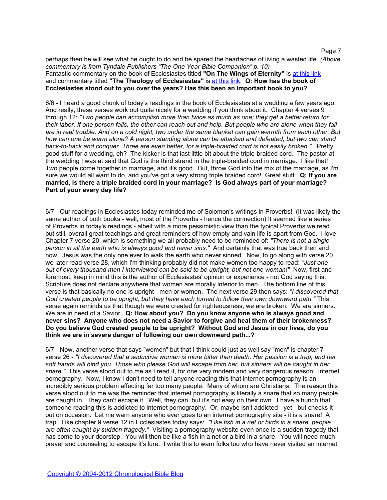perhaps then he will see what he ought to do and be spared the heartaches of living a wasted life. *(Above commentary is from Tyndale Publishers "The One Year Bible Companion" p. 10)*  Fantastic commentary on the book of Ecclesiastes titled "On The Wings of Eternity" is [at](http://www.bible.org/page.php?page_id=1633) [this](http://www.bible.org/page.php?page_id=1633) [link](http://www.bible.org/page.php?page_id=1633) and commentary titled **"The Theology of Ecclesiastes"** is [at](http://www.bible.org/page.php?page_id=1632) [this](http://www.bible.org/page.php?page_id=1632) [link.](http://www.bible.org/page.php?page_id=1632) **Q: How has the book of Ecclesiastes stood out to you over the years? Has this been an important book to you?**

6/6 - I heard a good chunk of today's readings in the book of Ecclesiastes at a wedding a few years ago. And really, these verses work out quite nicely for a wedding if you think about it. Chapter 4 verses 9 through 12: *"Two people can accomplish more than twice as much as one; they get a better return for their labor. If one person falls, the other can reach out and help. But people who are alone when they fall are in real trouble. And on a cold night, two under the same blanket can gain warmth from each other. But how can one be warm alone? A person standing alone can be attacked and defeated, but two can stand back-to-back and conquer. Three are even better, for a triple-braided cord is not easily broken."* Pretty good stuff for a wedding, eh? The kicker is that last little bit about the triple-braided cord. The pastor at the wedding I was at said that God is the third strand in the triple-braided cord in marriage. I like that! Two people come together in marriage, and it's good. But, throw God into the mix of the marriage, as I'm sure we would all want to do, and you've got a very strong triple braided cord! Great stuff. **Q: If you are married, is there a triple braided cord in your marriage? Is God always part of your marriage? Part of your every day life?**

6/7 - Our readings in Ecclesiastes today reminded me of Solomon's writings in Proverbs! (It was likely the same author of both books - well, most of the Proverbs - hence the connection) It seemed like a series of Proverbs in today's readings - albeit with a more pessimistic view than the typical Proverbs we read... but still, overall great teachings and great reminders of how empty and vain life is apart from God. I love Chapter 7 verse 20, which is something we all probably need to be reminded of: *"There is not a single person in all the earth who is always good and never sins."* And certainly that was true back then and now. Jesus was the only one ever to walk the earth who never sinned. Now, to go along with verse 20 we later read verse 28, which I'm thinking probably did not make women too happy to read: *"Just one out of every thousand men I interviewed can be said to be upright, but not one woman!"* Now, first and foremost, keep in mind this is the author of Ecclesiastes' opinion or experience - not God saying this. Scripture does not declare anywhere that women are morally inferior to men. The bottom line of this verse is that basically no one is upright - men or women. The next verse 29 then says: *"I discovered that God created people to be upright, but they have each turned to follow their own downward path."* This verse again reminds us that though we were created for righteousness, we are broken. We are sinners. We are in need of a Savior. **Q: How about you? Do you know anyone who is always good and never sins? Anyone who does not need a Savior to forgive and heal them of their brokenness? Do you believe God created people to be upright? Without God and Jesus in our lives, do you think we are in severe danger of following our own downward path...?**

6/7 - Now, another verse that says "women" but that I think could just as well say "men" is chapter 7 verse 26 - *"I discovered that a seductive woman is more bitter than death. Her passion is a trap, and her soft hands will bind you. Those who please God will escape from her, but sinners will be caught in her snare."* This verse stood out to me as I read it, for one very modern and very dangerous reason: internet pornography. Now, I know I don't need to tell anyone reading this that internet pornography is an incredibly serious problem affecting far too many people. Many of whom are Christians. The reason this verse stood out to me was the reminder that internet pornography is literally a snare that so many people are caught in. They can't escape it. Well, they can, but it's not easy on their own. I have a hunch that someone reading this is addicted to internet pornography. Or, maybe isn't addicted - yet - but checks it out on occasion. Let me warn anyone who ever goes to an internet pornography site - it is a snare! A trap. Like chapter 9 verse 12 in Ecclesiastes today says: *"Like fish in a net or birds in a snare, people are often caught by sudden tragedy."* Visiting a pornography website even once is a sudden tragedy that has come to your doorstep. You will then be like a fish in a net or a bird in a snare. You will need much prayer and counseling to escape it's lure. I write this to warn folks too who have never visited an internet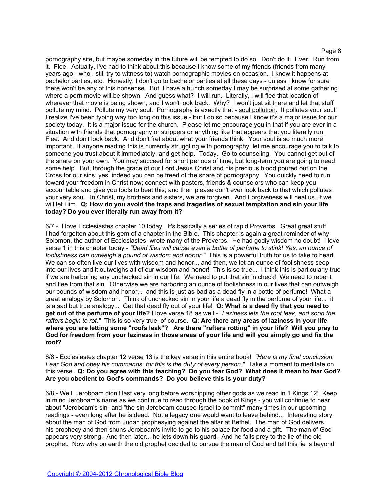pornography site, but maybe someday in the future will be tempted to do so. Don't do it. Ever. Run from it. Flee. Actually, I've had to think about this because I know some of my friends (friends from many years ago - who I still try to witness to) watch pornographic movies on occasion. I know it happens at bachelor parties, etc. Honestly, I don't go to bachelor parties at all these days - unless I know for sure there won't be any of this nonsense. But, I have a hunch someday I may be surprised at some gathering where a porn movie will be shown. And guess what? I will run. Literally, I will flee that location of wherever that movie is being shown, and I won't look back. Why? I won't just sit there and let that stuff pollute my mind. Pollute my very soul. Pornography is exactly that - soul pollution. It pollutes your soul! I realize I've been typing way too long on this issue - but I do so because I know it's a major issue for our society today. It is a major issue for the church. Please let me encourage you in that if you are ever in a situation with friends that pornography or strippers or anything like that appears that you literally run. Flee. And don't look back. And don't fret about what your friends think. Your soul is so much more important. If anyone reading this is currently struggling with pornography, let me encourage you to talk to someone you trust about it immediately, and get help. Today. Go to counseling. You cannot get out of the snare on your own. You may succeed for short periods of time, but long-term you are going to need some help. But, through the grace of our Lord Jesus Christ and his precious blood poured out on the Cross for our sins, yes, indeed you can be freed of the snare of pornography. You quickly need to run toward your freedom in Christ now; connect with pastors, friends & counselors who can keep you accountable and give you tools to beat this; and then please don't ever look back to that which pollutes your very soul. In Christ, my brothers and sisters, we are forgiven. And Forgiveness will heal us. If we will let Him. **Q: How do you avoid the traps and tragedies of sexual temptation and sin your life today? Do you ever literally run away from it?**

6/7 - I love Ecclesiastes chapter 10 today. It's basically a series of rapid Proverbs. Great great stuff. I had forgotten about this gem of a chapter in the Bible. This chapter is again a great reminder of why Solomon, the author of Ecclesiastes, wrote many of the Proverbs. He had godly wisdom no doubt! I love verse 1 in this chapter today - *"Dead flies will cause even a bottle of perfume to stink! Yes, an ounce of foolishness can outweigh a pound of wisdom and honor."* This is a powerful truth for us to take to heart. We can so often live our lives with wisdom and honor... and then, we let an ounce of foolishness seep into our lives and it outweighs all of our wisdom and honor! This is so true... I think this is particularly true if we are harboring any unchecked sin in our life. We need to put that sin in check! We need to repent and flee from that sin. Otherwise we are harboring an ounce of foolishness in our lives that can outweigh our pounds of wisdom and honor... and this is just as bad as a dead fly in a bottle of perfume! What a great analogy by Solomon. Think of unchecked sin in your life a dead fly in the perfume of your life... it is a sad but true analogy... Get that dead fly out of your life! **Q: What is a dead fly that you need to get out of the perfume of your life?** I love verse 18 as well - *"Laziness lets the roof leak, and soon the rafters begin to rot."* This is so very true, of course. **Q: Are there any areas of laziness in your life where you are letting some "roofs leak"? Are there "rafters rotting" in your life? Will you pray to God for freedom from your laziness in those areas of your life and will you simply go and fix the roof?**

6/8 - Ecclesiastes chapter 12 verse 13 is the key verse in this entire book! *"Here is my final conclusion: Fear God and obey his commands, for this is the duty of every person."* Take a moment to meditate on this verse. **Q: Do you agree with this teaching? Do you fear God? What does it mean to fear God? Are you obedient to God's commands? Do you believe this is your duty?**

6/8 - Well, Jeroboam didn't last very long before worshipping other gods as we read in 1 Kings 12! Keep in mind Jeroboam's name as we continue to read through the book of Kings - you will continue to hear about "Jeroboam's sin" and "the sin Jeroboam caused Israel to commit" many times in our upcoming readings - even long after he is dead. Not a legacy one would want to leave behind... Interesting story about the man of God from Judah prophesying against the altar at Bethel. The man of God delivers his prophecy and then shuns Jeroboam's invite to go to his palace for food and a gift. The man of God appears very strong. And then later... he lets down his guard. And he falls prey to the lie of the old prophet. Now why on earth the old prophet decided to pursue the man of God and tell this lie is beyond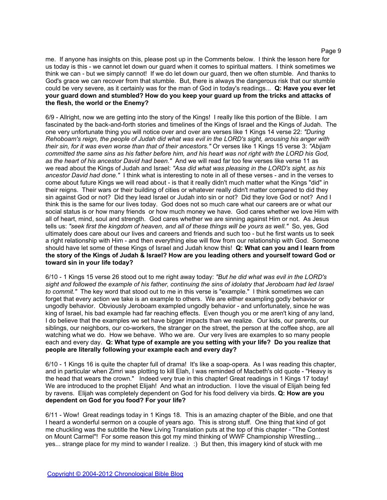me. If anyone has insights on this, please post up in the Comments below. I think the lesson here for us today is this - we cannot let down our guard when it comes to spiritual matters. I think sometimes we think we can - but we simply cannot! If we do let down our guard, then we often stumble. And thanks to God's grace we can recover from that stumble. But, there is always the dangerous risk that our stumble could be very severe, as it certainly was for the man of God in today's readings... **Q: Have you ever let your guard down and stumbled? How do you keep your guard up from the tricks and attacks of the flesh, the world or the Enemy?**

6/9 - Allright, now we are getting into the story of the Kings! I really like this portion of the Bible. I am fascinated by the back-and-forth stories and timelines of the Kings of Israel and the Kings of Judah. The one very unfortunate thing you will notice over and over are verses like 1 Kings 14 verse 22: *"During Rehoboam's reign, the people of Judah did what was evil in the LORD's sight, arousing his anger with their sin, for it was even worse than that of their ancestors."* Or verses like 1 Kings 15 verse 3: *"Abijam committed the same sins as his father before him, and his heart was not right with the LORD his God, as the heart of his ancestor David had been."* And we will read far too few verses like verse 11 as we read about the Kings of Judah and Israel: *"Asa did what was pleasing in the LORD's sight, as his ancestor David had done."* I think what is interesting to note in all of these verses - and in the verses to come about future Kings we will read about - is that it really didn't much matter what the Kings "did" in their reigns. Their wars or their building of cities or whatever really didn't matter compared to did they sin against God or not? Did they lead Israel or Judah into sin or not? Did they love God or not? And I think this is the same for our lives today. God does not so much care what our careers are or what our social status is or how many friends or how much money we have. God cares whether we love Him with all of heart, mind, soul and strength. God cares whether we are sinning against Him or not. As Jesus tells us: *"seek first the kingdom of heaven, and all of these things will be yours as well."* So, yes, God ultimately does care about our lives and careers and friends and such too - but he first wants us to seek a right relationship with Him - and then everything else will flow from our relationship with God. Someone should have let some of these Kings of Israel and Judah know this! **Q: What can you and I learn from the story of the Kings of Judah & Israel? How are you leading others and yourself toward God or toward sin in your life today?**

6/10 - 1 Kings 15 verse 26 stood out to me right away today: *"But he did what was evil in the LORD's sight and followed the example of his father, continuing the sins of idolatry that Jeroboam had led Israel to commit."* The key word that stood out to me in this verse is "example." I think sometimes we can forget that every action we take is an example to others. We are either exampling godly behavior or ungodly behavior. Obviously Jeroboam exampled ungodly behavior - and unfortunately, since he was king of Israel, his bad example had far reaching effects. Even though you or me aren't king of any land, I do believe that the examples we set have bigger impacts than we realize. Our kids, our parents, our siblings, our neighbors, our co-workers, the stranger on the street, the person at the coffee shop, are all watching what we do. How we behave. Who we are. Our very lives are examples to so many people each and every day. **Q: What type of example are you setting with your life? Do you realize that people are literally following your example each and every day?**

6/10 - 1 Kings 16 is quite the chapter full of drama! It's like a soap-opera. As I was reading this chapter, and in particular when Zimri was plotting to kill Elah, I was reminded of Macbeth's old quote - "Heavy is the head that wears the crown." Indeed very true in this chapter! Great readings in 1 Kings 17 today! We are introduced to the prophet Elijah! And what an introduction. I love the visual of Elijah being fed by ravens. Elijah was completely dependent on God for his food delivery via birds. **Q: How are you dependent on God for you food? For your life?**

6/11 - Wow! Great readings today in 1 Kings 18. This is an amazing chapter of the Bible, and one that I heard a wonderful sermon on a couple of years ago. This is strong stuff. One thing that kind of got me chuckling was the subtitle the New Living Translation puts at the top of this chapter - "The Contest on Mount Carmel"! For some reason this got my mind thinking of WWF Championship Wrestling... yes... strange place for my mind to wander I realize. :) But then, this imagery kind of stuck with me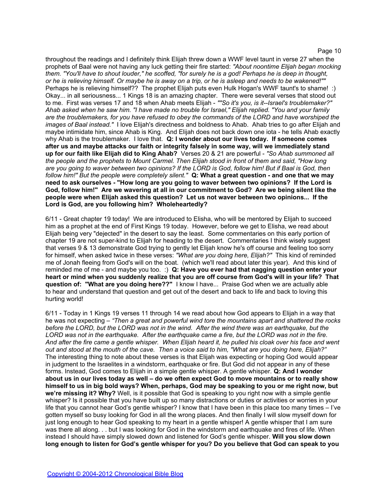throughout the readings and I definitely think Elijah threw down a WWF level taunt in verse 27 when the prophets of Baal were not having any luck getting their fire started: *"About noontime Elijah began mocking them. "You'll have to shout louder," he scoffed, "for surely he is a god! Perhaps he is deep in thought, or he is relieving himself. Or maybe he is away on a trip, or he is asleep and needs to be wakened!""* Perhaps he is relieving himself?? The prophet Elijah puts even Hulk Hogan's WWF taunt's to shame! :) Okay... in all seriousness... 1 Kings 18 is an amazing chapter. There were several verses that stood out to me. First was verses 17 and 18 when Ahab meets Elijah - *""So it's you, is it--Israel's troublemaker?" Ahab asked when he saw him. "I have made no trouble for Israel," Elijah replied. "You and your family are the troublemakers, for you have refused to obey the commands of the LORD and have worshiped the images of Baal instead."* I love Elijah's directness and boldness to Ahab. Ahab tries to go after Elijah and maybe intimidate him, since Ahab is King. And Elijah does not back down one iota - he tells Ahab exactly why Ahab is the troublemaker. I love that. **Q: I wonder about our lives today. If someone comes after us and maybe attacks our faith or integrity falsely in some way, will we immediately stand up for our faith like Elijah did to King Ahab?** Verses 20 & 21 are powerful - *"So Ahab summoned all the people and the prophets to Mount Carmel. Then Elijah stood in front of them and said, "How long are you going to waver between two opinions? If the LORD is God, follow him! But if Baal is God, then follow him!" But the people were completely silent."* **Q: What a great question - and one that we may need to ask ourselves - "How long are you going to waver between two opinions? If the Lord is God, follow him!" Are we wavering at all in our commitment to God? Are we being silent like the people were when Elijah asked this question? Let us not waver between two opinions... If the Lord is God, are you following him? Wholeheartedly?** 

6/11 - Great chapter 19 today! We are introduced to Elisha, who will be mentored by Elijah to succeed him as a prophet at the end of First Kings 19 today. However, before we get to Elisha, we read about Elijah being very "dejected" in the desert to say the least. Some commentaries on this early portion of chapter 19 are not super-kind to Elijah for heading to the desert. Commentaries I think wisely suggest that verses 9 & 13 demonstrate God trying to gently let Elijah know he's off course and feeling too sorry for himself, when asked twice in these verses: *"What are you doing here, Elijah?"* This kind of reminded me of Jonah fleeing from God's will on the boat. (which we'll read about later this year). And this kind of reminded me of me - and maybe you too. :) **Q: Have you ever had that nagging question enter your heart or mind when you suddenly realize that you are off course from God's will in your life? That question of: "What are you doing here??"** I know I have... Praise God when we are actually able to hear and understand that question and get out of the desert and back to life and back to loving this hurting world!

6/11 - Today in 1 Kings 19 verses 11 through 14 we read about how God appears to Elijah in a way that he was not expecting – *"Then a great and powerful wind tore the mountains apart and shattered the rocks before the LORD, but the LORD was not in the wind. After the wind there was an earthquake, but the LORD was not in the earthquake. After the earthquake came a fire, but the LORD was not in the fire. And after the fire came a gentle whisper. When Elijah heard it, he pulled his cloak over his face and went out and stood at the mouth of the cave. Then a voice said to him, "What are you doing here, Elijah?"* The interesting thing to note about these verses is that Elijah was expecting or hoping God would appear in judgment to the Israelites in a windstorm, earthquake or fire. But God did not appear in any of these forms. Instead, God comes to Elijah in a simple gentle whisper. A gentle whisper. **Q: And I wonder about us in our lives today as well – do we often expect God to move mountains or to really show himself to us in big bold ways? When, perhaps, God may be speaking to you or me right now, but we're missing it? Why?** Well, is it possible that God is speaking to you right now with a simple gentle whisper? Is it possible that you have built up so many distractions or duties or activities or worries in your life that you cannot hear God's gentle whisper? I know that I have been in this place too many times – I've gotten myself so busy looking for God in all the wrong places. And then finally I will slow myself down for just long enough to hear God speaking to my heart in a gentle whisper! A gentle whisper that I am sure was there all along. . . but I was looking for God in the windstorm and earthquake and fires of life. When instead I should have simply slowed down and listened for God's gentle whisper. **Will you slow down long enough to listen for God's gentle whisper for you? Do you believe that God can speak to you**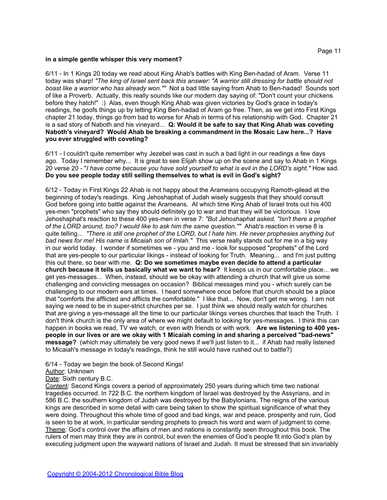#### **in a simple gentle whisper this very moment?**

6/11 - In 1 Kings 20 today we read about King Ahab's battles with King Ben-hadad of Aram. Verse 11 today was sharp! *"The king of Israel sent back this answer: "A warrior still dressing for battle should not boast like a warrior who has already won.""* Not a bad little saying from Ahab to Ben-hadad! Sounds sort of like a Proverb. Actually, this really sounds like our modern day saying of: "Don't count your chickens before they hatch!" :) Alas, even though King Ahab was given victories by God's grace in today's readings, he goofs things up by letting King Ben-hadad of Aram go free. Then, as we get into First Kings chapter 21 today, things go from bad to worse for Ahab in terms of his relationship with God. Chapter 21 is a sad story of Naboth and his vineyard... **Q: Would it be safe to say that King Ahab was coveting Naboth's vineyard? Would Ahab be breaking a commandment in the Mosaic Law here...? Have you ever struggled with coveting?**

6/11 - I couldn't quite remember why Jezebel was cast in such a bad light in our readings a few days ago. Today I remember why... It is great to see Elijah show up on the scene and say to Ahab in 1 Kings 20 verse 20 - "*I have come because you have sold yourself to what is evil in the LORD's sight."* How sad. **Do you see people today still selling themselves to what is evil in God's sight?**

6/12 - Today in First Kings 22 Ahab is not happy about the Arameans occupying Ramoth-gilead at the beginning of today's readings. King Jehoshaphat of Judah wisely suggests that they should consult God before going into battle against the Arameans. At which time King Ahab of Israel trots out his 400 yes-men "prophets" who say they should definitely go to war and that they will be victorious. I love Jehoshaphat's reaction to these 400 yes-men in verse 7: *"But Jehoshaphat asked, "Isn't there a prophet*  of the LORD around, too? I would like to ask him the same question.""<sup>'</sup> Ahab's reaction in verse 8 is quite telling... *"There is still one prophet of the LORD, but I hate him. He never prophesies anything but bad news for me! His name is Micaiah son of Imlah."* This verse really stands out for me in a big way in our world today. I wonder if sometimes we - you and me - look for supposed "prophets" of the Lord that are yes-people to our particular likings - instead of looking for Truth. Meaning... and I'm just putting this out there, so bear with me. **Q: Do we sometimes maybe even decide to attend a particular church because it tells us basically what we want to hear?** It keeps us in our comfortable place... we get yes-messages... When, instead, should we be okay with attending a church that will give us some challenging and convicting messages on occasion? Biblical messages mind you - which surely can be challenging to our modern ears at times. I heard somewhere once before that church should be a place that "comforts the afflicted and afflicts the comfortable." I like that... Now, don't get me wrong. I am not saying we need to be in super-strict churches per se. I just think we should really watch for churches that are giving a yes-message all the time to our particular likings verses churches that teach the Truth. I don't think church is the only area of where we might default to looking for yes-messages. I think this can happen in books we read, TV we watch, or even with friends or with work. **Are we listening to 400 yespeople in our lives or are we okay with 1 Micaiah coming in and sharing a perceived "bad-news" message?** (which may ultimately be very good news if we'll just listen to it... if Ahab had really listened to Micaiah's message in today's readings, think he still would have rushed out to battle?)

# 6/14 - Today we begin the book of Second Kings!

# Author: Unknown

Date: Sixth century B.C.

Content: Second Kings covers a period of approximately 250 years during which time two national tragedies occurred. In 722 B.C. the northern kingdom of Israel was destroyed by the Assyrians, and in 586 B.C. the southern kingdom of Judah was destroyed by the Babylonians. The reigns of the various kings are described in some detail with care being taken to show the spiritual significance of what they were doing. Throughout this whole time of good and bad kings, war and peace, prosperity and ruin, God is seen to be at work, in particular sending prophets to preach his word and warn of judgment to come. Theme: God's control over the affairs of men and nations is constantly seen throughout this book. The rulers of men may think they are in control, but even the enemies of God's people fit into God's plan by executing judgment upon the wayward nations of Israel and Judah. It must be stressed that sin invariably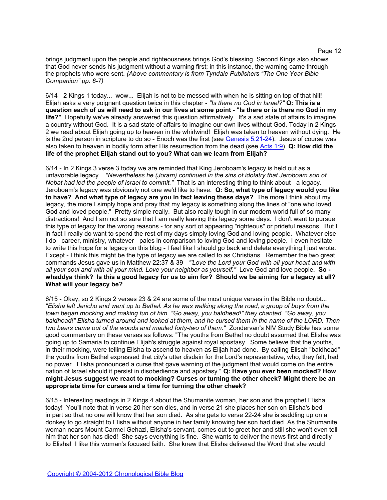brings judgment upon the people and righteousness brings God's blessing. Second Kings also shows that God never sends his judgment without a warning first; in this instance, the warning came through the prophets who were sent. *(Above commentary is from Tyndale Publishers "The One Year Bible Companion" pp. 6-7)*

6/14 - 2 Kings 1 today... wow... Elijah is not to be messed with when he is sitting on top of that hill! Elijah asks a very poignant question twice in this chapter - *"Is there no God in Israel?"* **Q: This is a question each of us will need to ask in our lives at some point - "Is there or is there no God in my life?"** Hopefully we've already answered this question affirmatively. It's a sad state of affairs to imagine a country without God. It is a sad state of affairs to imagine our own lives without God. Today in 2 Kings 2 we read about Elijah going up to heaven in the whirlwind! Elijah was taken to heaven without dying. He is the 2nd person in scripture to do so - Enoch was the first (see [Genesis 5:21-24\)](http://www.biblegateway.com/passage/?search=Genesis+5:21-24). Jesus of course was also taken to heaven in bodily form after His resurrection from the dead (see [Acts 1:9\)](http://www.biblegateway.com/passage/?search=Acts+1:9). **Q: How did the life of the prophet Elijah stand out to you? What can we learn from Elijah?**

6/14 - In 2 Kings 3 verse 3 today we are reminded that King Jeroboam's legacy is held out as a unfavorable legacy... *"Nevertheless he (Joram) continued in the sins of idolatry that Jeroboam son of Nebat had led the people of Israel to commit."* That is an interesting thing to think about - a legacy. Jeroboam's legacy was obviously not one we'd like to have. **Q: So, what type of legacy would you like to have? And what type of legacy are you in fact leaving these days?** The more I think about my legacy, the more I simply hope and pray that my legacy is something along the lines of "one who loved God and loved people." Pretty simple really. But also really tough in our modern world full of so many distractions! And I am not so sure that I am really leaving this legacy some days. I don't want to pursue this type of legacy for the wrong reasons - for any sort of appearing "righteous" or prideful reasons. But I in fact I really do want to spend the rest of my days simply loving God and loving people. Whatever else I do - career, ministry, whatever - pales in comparison to loving God and loving people. I even hesitate to write this hope for a legacy on this blog - I feel like I should go back and delete everything I just wrote. Except - I think this might be the type of legacy we are called to as Christians. Remember the two great commands Jesus gave us in Matthew 22:37 & 39 - *"'Love the Lord your God with all your heart and with all your soul and with all your mind. Love your neighbor as yourself."* Love God and love people. **So whaddya think? Is this a good legacy for us to aim for? Should we be aiming for a legacy at all? What will your legacy be?**

6/15 - Okay, so 2 Kings 2 verses 23 & 24 are some of the most unique verses in the Bible no doubt... *"Elisha left Jericho and went up to Bethel. As he was walking along the road, a group of boys from the town began mocking and making fun of him. "Go away, you baldhead!" they chanted. "Go away, you baldhead!" Elisha turned around and looked at them, and he cursed them in the name of the LORD. Then two bears came out of the woods and mauled forty-two of them."* Zondervan's NIV Study Bible has some good commentary on these verses as follows: "The youths from Bethel no doubt assumed that Elisha was going up to Samaria to continue Elijah's struggle against royal apostasy. Some believe that the youths, in their mocking, were telling Elisha to ascend to heaven as Elijah had done. By calling Elisah "baldhead" the youths from Bethel expressed that city's utter disdain for the Lord's representative, who, they felt, had no power. Elisha pronounced a curse that gave warning of the judgment that would come on the entire nation of Israel should it persist in disobedience and apostasy." **Q: Have you ever been mocked? How might Jesus suggest we react to mocking? Curses or turning the other cheek? Might there be an appropriate time for curses and a time for turning the other cheek?**

6/15 - Interesting readings in 2 Kings 4 about the Shumanite woman, her son and the prophet Elisha today! You'll note that in verse 20 her son dies, and in verse 21 she places her son on Elisha's bed in part so that no one will know that her son died. As she gets to verse 22-24 she is saddling up on a donkey to go straight to Elisha without anyone in her family knowing her son had died. As the Shumanite woman nears Mount Carmel Gehazi, Elisha's servant, comes out to greet her and still she won't even tell him that her son has died! She says everything is fine. She wants to deliver the news first and directly to Elisha! I like this woman's focused faith. She knew that Elisha delivered the Word that she would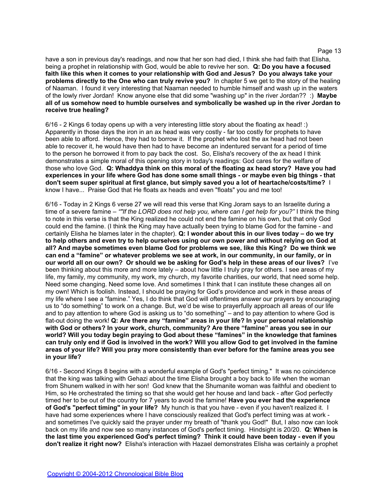have a son in previous day's readings, and now that her son had died, I think she had faith that Elisha, being a prophet in relationship with God, would be able to revive her son. **Q: Do you have a focused faith like this when it comes to your relationship with God and Jesus? Do you always take your problems directly to the One who can truly revive you?** In chapter 5 we get to the story of the healing of Naaman. I found it very interesting that Naaman needed to humble himself and wash up in the waters of the lowly river Jordan! Know anyone else that did some "washing up" in the river Jordan?? :) **Maybe all of us somehow need to humble ourselves and symbolically be washed up in the river Jordan to receive true healing?**

6/16 - 2 Kings 6 today opens up with a very interesting little story about the floating ax head! :) Apparently in those days the iron in an ax head was very costly - far too costly for prophets to have been able to afford. Hence, they had to borrow it. If the prophet who lost the ax head had not been able to recover it, he would have then had to have become an indentured servant for a period of time to the person he borrowed it from to pay back the cost. So, Elisha's recovery of the ax head I think demonstrates a simple moral of this opening story in today's readings: God cares for the welfare of those who love God. **Q: Whaddya think on this moral of the floating ax head story? Have you had experiences in your life where God has done some small things - or maybe even big things - that don't seem super spiritual at first glance, but simply saved you a lot of heartache/costs/time?** I know I have... Praise God that He floats ax heads and even "floats" you and me too!

6/16 - Today in 2 Kings 6 verse 27 we will read this verse that King Joram says to an Israelite during a time of a severe famine – *""If the LORD does not help you, where can I get help for you?"* I think the thing to note in this verse is that the King realized he could not end the famine on his own, but that only God could end the famine. (I think the King may have actually been trying to blame God for the famine - and certainly Elisha he blames later in the chapter). **Q: I wonder about this in our lives today – do we try to help others and even try to help ourselves using our own power and without relying on God at all? And maybe sometimes even blame God for problems we see, like this King? Do we think we can end a "famine" or whatever problems we see at work, in our community, in our family, or in our world all on our own? Or should we be asking for God's help in these areas of our lives?** I've been thinking about this more and more lately – about how little I truly pray for others. I see areas of my life, my family, my community, my work, my church, my favorite charities, our world, that need some help. Need some changing. Need some love. And sometimes I think that I can institute these changes all on my own! Which is foolish. Instead, I should be praying for God's providence and work in these areas of my life where I see a "famine." Yes, I do think that God will oftentimes answer our prayers by encouraging us to "do something" to work on a change. But, we'd be wise to prayerfully approach all areas of our life and to pay attention to where God is asking us to "do something" – and to pay attention to where God is flat-out doing the work! **Q: Are there any "famine" areas in your life? In your personal relationship with God or others? In your work, church, community? Are there "famine" areas you see in our world? Will you today begin praying to God about these "famines" in the knowledge that famines can truly only end if God is involved in the work? Will you allow God to get involved in the famine areas of your life? Will you pray more consistently than ever before for the famine areas you see in your life?**

6/16 - Second Kings 8 begins with a wonderful example of God's "perfect timing." It was no coincidence that the king was talking with Gehazi about the time Elisha brought a boy back to life when the woman from Shunem walked in with her son! God knew that the Shumanite woman was faithful and obedient to Him, so He orchestrated the timing so that she would get her house and land back - after God perfectly timed her to be out of the country for 7 years to avoid the famine! **Have you ever had the experience of God's "perfect timing" in your life?** My hunch is that you have - even if you haven't realized it. I have had some experiences where I have consciously realized that God's perfect timing was at work and sometimes I've quickly said the prayer under my breath of "thank you God!" But, I also now can look back on my life and now see so many instances of God's perfect timing. Hindsight is 20/20. **Q: When is the last time you experienced God's perfect timing? Think it could have been today - even if you don't realize it right now?** Elisha's interaction with Hazael demonstrates Elisha was certainly a prophet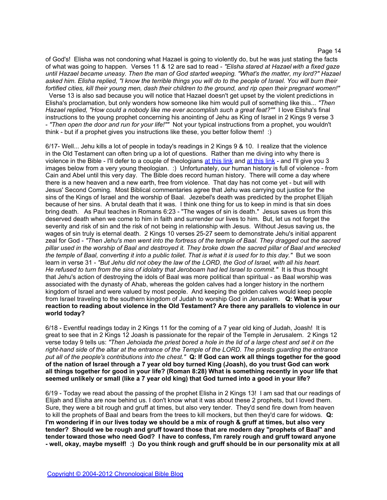of God's! Elisha was not condoning what Hazael is going to violently do, but he was just stating the facts of what was going to happen. Verses 11 & 12 are sad to read - *"Elisha stared at Hazael with a fixed gaze until Hazael became uneasy. Then the man of God started weeping. "What's the matter, my lord?" Hazael asked him. Elisha replied, "I know the terrible things you will do to the people of Israel. You will burn their fortified cities, kill their young men, dash their children to the ground, and rip open their pregnant women!"*  Verse 13 is also sad because you will notice that Hazael doesn't get upset by the violent predictions in

Elisha's proclamation, but only wonders how someone like him would pull of something like this... *"Then Hazael replied, "How could a nobody like me ever accomplish such a great feat?""* I love Elisha's final instructions to the young prophet concerning his anointing of Jehu as King of Israel in 2 Kings 9 verse 3 - *"Then open the door and run for your life!""* Not your typical instructions from a prophet, you wouldn't think - but if a prophet gives you instructions like these, you better follow them! :)

6/17- Well... Jehu kills a lot of people in today's readings in 2 Kings 9 & 10. I realize that the violence in the Old Testament can often bring up a lot of questions. Rather than me diving into why there is violence in the Bible - I'll defer to a couple of theologians [at](http://www.campuscrosswalk.org/2005-winter-26.html) [this](http://www.campuscrosswalk.org/2005-winter-26.html) [link](http://www.christendom-awake.org/pages/hemer/violence.htm) and at this [link](http://www.campuscrosswalk.org/2005-winter-26.html) - and I'll give you 3 images below from a very young theologian. :) Unfortunately, our human history is full of violence - from Cain and Abel until this very day. The Bible does record human history. There will come a day where there is a new heaven and a new earth, free from violence. That day has not come yet - but will with Jesus' Second Coming. Most Biblical commentaries agree that Jehu was carrying out justice for the sins of the Kings of Israel and the worship of Baal. Jezebel's death was predicted by the prophet Elijah because of her sins. A brutal death that it was. I think one thing for us to keep in mind is that sin does bring death. As Paul teaches in Romans 6:23 - "The wages of sin is death." Jesus saves us from this deserved death when we come to him in faith and surrender our lives to him. But, let us not forget the severity and risk of sin and the risk of not being in relationship with Jesus. Without Jesus saving us, the wages of sin truly is eternal death. 2 Kings 10 verses 25-27 seem to demonstrate Jehu's initial apparent zeal for God - *"Then Jehu's men went into the fortress of the temple of Baal. They dragged out the sacred pillar used in the worship of Baal and destroyed it. They broke down the sacred pillar of Baal and wrecked the temple of Baal, converting it into a public toilet. That is what it is used for to this day."* But we soon learn in verse 31 - *"But Jehu did not obey the law of the LORD, the God of Israel, with all his heart. He refused to turn from the sins of idolatry that Jeroboam had led Israel to commit."* It is thus thought that Jehu's action of destroying the idols of Baal was more political than spiritual - as Baal worship was associated with the dynasty of Ahab, whereas the golden calves had a longer history in the northern kingdom of Israel and were valued by most people. And keeping the golden calves would keep people from Israel traveling to the southern kingdom of Judah to worship God in Jerusalem. **Q: What is your reaction to reading about violence in the Old Testament? Are there any parallels to violence in our world today?**

6/18 - Eventful readings today in 2 Kings 11 for the coming of a 7 year old king of Judah, Joash! It is great to see that in 2 Kings 12 Joash is passionate for the repair of the Temple in Jerusalem. 2 Kings 12 verse today 9 tells us: *"Then Jehoiada the priest bored a hole in the lid of a large chest and set it on the right-hand side of the altar at the entrance of the Temple of the LORD. The priests guarding the entrance put all of the people's contributions into the chest."* **Q: If God can work all things together for the good of the nation of Israel through a 7 year old boy turned King (Joash), do you trust God can work all things together for good in your life? (Roman 8:28) What is something recently in your life that seemed unlikely or small (like a 7 year old king) that God turned into a good in your life?**

6/19 - Today we read about the passing of the prophet Elisha in 2 Kings 13! I am sad that our readings of Elijah and Elisha are now behind us. I don't know what it was about these 2 prophets, but I loved them. Sure, they were a bit rough and gruff at times, but also very tender. They'd send fire down from heaven to kill the prophets of Baal and bears from the trees to kill mockers, but then they'd care for widows. **Q: I'm wondering if in our lives today we should be a mix of rough & gruff at times, but also very tender? Should we be rough and gruff toward those that are modern day "prophets of Baal" and tender toward those who need God? I have to confess, I'm rarely rough and gruff toward anyone - well, okay, maybe myself! :) Do you think rough and gruff should be in our personality mix at all**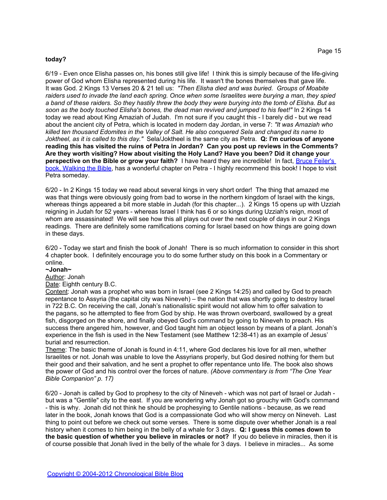#### **today?**

6/19 - Even once Elisha passes on, his bones still give life! I think this is simply because of the life-giving power of God whom Elisha represented during his life. It wasn't the bones themselves that gave life. It was God. 2 Kings 13 Verses 20 & 21 tell us: *"Then Elisha died and was buried. Groups of Moabite raiders used to invade the land each spring. Once when some Israelites were burying a man, they spied a band of these raiders. So they hastily threw the body they were burying into the tomb of Elisha. But as soon as the body touched Elisha's bones, the dead man revived and jumped to his feet!"* In 2 Kings 14 today we read about King Amaziah of Judah. I'm not sure if you caught this - I barely did - but we read about the ancient city of Petra, which is located in modern day Jordan, in verse 7: *"It was Amaziah who killed ten thousand Edomites in the Valley of Salt. He also conquered Sela and changed its name to Joktheel, as it is called to this day."* Sela/Joktheel is the same city as Petra. **Q: I'm curious of anyone reading this has visited the ruins of Petra in Jordan? Can you post up reviews in the Comments? Are they worth visiting? How about visiting the Holy Land? Have you been? Did it change your perspective on the Bible or grow your faith?** I have heard they are incredible! In fact, [Bruce](http://www.amazon.com/Walking-Bible-Journey-Through-Books/dp/0060838639/) [Feiler's](http://www.amazon.com/Walking-Bible-Journey-Through-Books/dp/0060838639/) [book, Walking](http://www.amazon.com/Walking-Bible-Journey-Through-Books/dp/0060838639/) [the](http://www.amazon.com/Walking-Bible-Journey-Through-Books/dp/0060838639/) [Bible](http://www.amazon.com/Walking-Bible-Journey-Through-Books/dp/0060838639/), has a wonderful chapter on Petra - I highly recommend this book! I hope to visit Petra someday.

6/20 - In 2 Kings 15 today we read about several kings in very short order! The thing that amazed me was that things were obviously going from bad to worse in the northern kingdom of Israel with the kings, whereas things appeared a bit more stable in Judah (for this chapter...). 2 Kings 15 opens up with Uzziah reigning in Judah for 52 years - whereas Israel I think has 6 or so kings during Uzziah's reign, most of whom are assassinated! We will see how this all plays out over the next couple of days in our 2 Kings readings. There are definitely some ramifications coming for Israel based on how things are going down in these days.

6/20 - Today we start and finish the book of Jonah! There is so much information to consider in this short 4 chapter book. I definitely encourage you to do some further study on this book in a Commentary or online.

# **~Jonah~**

# Author: Jonah

Date: Eighth century B.C.

Content: Jonah was a prophet who was born in Israel (see 2 Kings 14:25) and called by God to preach repentance to Assyria (the capital city was Nineveh) – the nation that was shortly going to destroy Israel in 722 B.C. On receiving the call, Jonah's nationalistic spirit would not allow him to offer salvation to the pagans, so he attempted to flee from God by ship. He was thrown overboard, swallowed by a great fish, disgorged on the shore, and finally obeyed God's command by going to Nineveh to preach. His success there angered him, however, and God taught him an object lesson by means of a plant. Jonah's experience in the fish is used in the New Testament (see Matthew 12:38-41) as an example of Jesus' burial and resurrection.

Theme: The basic theme of Jonah is found in 4:11, where God declares his love for all men, whether Israelites or not. Jonah was unable to love the Assyrians properly, but God desired nothing for them but their good and their salvation, and he sent a prophet to offer repentance unto life. The book also shows the power of God and his control over the forces of nature. *(Above commentary is from "The One Year Bible Companion" p. 17)*

6/20 - Jonah is called by God to prophesy to the city of Nineveh - which was not part of Israel or Judah but was a "Gentile" city to the east. If you are wondering why Jonah got so grouchy with God's command - this is why. Jonah did not think he should be prophesying to Gentile nations - because, as we read later in the book, Jonah knows that God is a compassionate God who will show mercy on Nineveh. Last thing to point out before we check out some verses. There is some dispute over whether Jonah is a real history when it comes to him being in the belly of a whale for 3 days. **Q: I guess this comes down to the basic question of whether you believe in miracles or not?** If you do believe in miracles, then it is of course possible that Jonah lived in the belly of the whale for 3 days. I believe in miracles... As some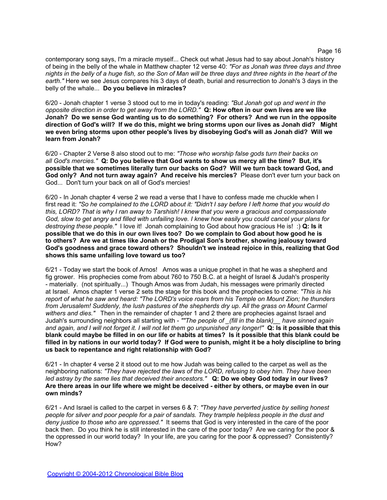contemporary song says, I'm a miracle myself... Check out what Jesus had to say about Jonah's history of being in the belly of the whale in Matthew chapter 12 verse 40: *"For as Jonah was three days and three nights in the belly of a huge fish, so the Son of Man will be three days and three nights in the heart of the earth."* Here we see Jesus compares his 3 days of death, burial and resurrection to Jonah's 3 days in the belly of the whale... **Do you believe in miracles?**

6/20 - Jonah chapter 1 verse 3 stood out to me in today's reading: *"But Jonah got up and went in the opposite direction in order to get away from the LORD."* **Q: How often in our own lives are we like Jonah? Do we sense God wanting us to do something? For others? And we run in the opposite direction of God's will? If we do this, might we bring storms upon our lives as Jonah did? Might we even bring storms upon other people's lives by disobeying God's will as Jonah did? Will we learn from Jonah?**

6/20 - Chapter 2 Verse 8 also stood out to me: *"Those who worship false gods turn their backs on all God's mercies."* **Q: Do you believe that God wants to show us mercy all the time? But, it's possible that we sometimes literally turn our backs on God? Will we turn back toward God, and God only? And not turn away again? And receive his mercies?** Please don't ever turn your back on God... Don't turn your back on all of God's mercies!

6/20 - In Jonah chapter 4 verse 2 we read a verse that I have to confess made me chuckle when I first read it: *"So he complained to the LORD about it: "Didn't I say before I left home that you would do this, LORD? That is why I ran away to Tarshish! I knew that you were a gracious and compassionate God, slow to get angry and filled with unfailing love. I knew how easily you could cancel your plans for destroying these people."* I love it! Jonah complaining to God about how gracious He is! :) **Q: Is it possible that we do this in our own lives too? Do we complain to God about how good he is to others? Are we at times like Jonah or the Prodigal Son's brother, showing jealousy toward God's goodness and grace toward others? Shouldn't we instead rejoice in this, realizing that God shows this same unfailing love toward us too?**

6/21 - Today we start the book of Amos! Amos was a unique prophet in that he was a shepherd and fig grower. His prophecies come from about 760 to 750 B.C. at a height of Israel & Judah's prosperity - materially. (not spiritually...) Though Amos was from Judah, his messages were primarily directed at Israel. Amos chapter 1 verse 2 sets the stage for this book and the prophecies to come: *"This is his report of what he saw and heard: "The LORD's voice roars from his Temple on Mount Zion; he thunders from Jerusalem! Suddenly, the lush pastures of the shepherds dry up. All the grass on Mount Carmel withers and dies."* Then in the remainder of chapter 1 and 2 there are prophecies against Israel and Judah's surrounding neighbors all starting with - *""The people of \_(fill in the blank)\_\_ have sinned again and again, and I will not forget it. I will not let them go unpunished any longer!"* **Q: Is it possible that this blank could maybe be filled in on our life or habits at times? Is it possible that this blank could be filled in by nations in our world today? If God were to punish, might it be a holy discipline to bring us back to repentance and right relationship with God?** 

6/21 - In chapter 4 verse 2 it stood out to me how Judah was being called to the carpet as well as the neighboring nations: *"They have rejected the laws of the LORD, refusing to obey him. They have been led astray by the same lies that deceived their ancestors."* **Q: Do we obey God today in our lives? Are there areas in our life where we might be deceived - either by others, or maybe even in our own minds?**

6/21 - And Israel is called to the carpet in verses 6 & 7: *"They have perverted justice by selling honest people for silver and poor people for a pair of sandals. They trample helpless people in the dust and deny justice to those who are oppressed."* It seems that God is very interested in the care of the poor back then. Do you think he is still interested in the care of the poor today? Are we caring for the poor & the oppressed in our world today? In your life, are you caring for the poor & oppressed? Consistently? How?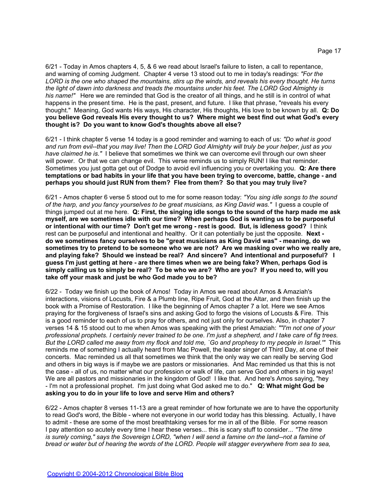6/21 - Today in Amos chapters 4, 5, & 6 we read about Israel's failure to listen, a call to repentance, and warning of coming Judgment. Chapter 4 verse 13 stood out to me in today's readings: *"For the LORD is the one who shaped the mountains, stirs up the winds, and reveals his every thought. He turns the light of dawn into darkness and treads the mountains under his feet. The LORD God Almighty is his name!"* Here we are reminded that God is the creator of all things, and he still is in control of what happens in the present time. He is the past, present, and future. I like that phrase, "reveals his every thought." Meaning, God wants His ways, His character, His thoughts, His love to be known by all. **Q: Do you believe God reveals His every thought to us? Where might we best find out what God's every thought is? Do you want to know God's thoughts above all else?**

6/21 - I think chapter 5 verse 14 today is a good reminder and warning to each of us: *"Do what is good and run from evil--that you may live! Then the LORD God Almighty will truly be your helper, just as you have claimed he is."* I believe that sometimes we think we can overcome evil through our own sheer will power. Or that we can change evil. This verse reminds us to simply RUN! I like that reminder. Sometimes you just gotta get out of Dodge to avoid evil influencing you or overtaking you. **Q: Are there temptations or bad habits in your life that you have been trying to overcome, battle, change - and perhaps you should just RUN from them? Flee from them? So that you may truly live?**

6/21 - Amos chapter 6 verse 5 stood out to me for some reason today: *"You sing idle songs to the sound of the harp, and you fancy yourselves to be great musicians, as King David was."* I guess a couple of things jumped out at me here. **Q: First, the singing idle songs to the sound of the harp made me ask myself, are we sometimes idle with our time? When perhaps God is wanting us to be purposeful or intentional with our time? Don't get me wrong - rest is good. But, is idleness good?** I think rest can be purposeful and intentional and healthy. Or it can potentially be just the opposite. **Next do we sometimes fancy ourselves to be "great musicians as King David was" - meaning, do we sometimes try to pretend to be someone who we are not? Are we masking over who we really are, and playing fake? Should we instead be real? And sincere? And intentional and purposeful? I guess I'm just getting at here - are there times when we are being fake? When, perhaps God is simply calling us to simply be real? To be who we are? Who are you? If you need to, will you take off your mask and just be who God made you to be?**

6/22 - Today we finish up the book of Amos! Today in Amos we read about Amos & Amaziah's interactions, visions of Locusts, Fire & a Plumb line, Ripe Fruit, God at the Altar, and then finish up the book with a Promise of Restoration. I like the beginning of Amos chapter 7 a lot. Here we see Amos praying for the forgiveness of Israel's sins and asking God to forgo the visions of Locusts & Fire. This is a good reminder to each of us to pray for others, and not just only for ourselves. Also, in chapter 7 verses 14 & 15 stood out to me when Amos was speaking with the priest Amaziah: *""I'm not one of your professional prophets. I certainly never trained to be one. I'm just a shepherd, and I take care of fig trees. But the LORD called me away from my flock and told me, `Go and prophesy to my people in Israel.'"* This reminds me of something I actually heard from Mac Powell, the leader singer of Third Day, at one of their concerts. Mac reminded us all that sometimes we think that the only way we can really be serving God and others in big ways is if maybe we are pastors or missionaries. And Mac reminded us that this is not the case - all of us, no matter what our profession or walk of life, can serve God and others in big ways! We are all pastors and missionaries in the kingdom of God! I like that. And here's Amos saying, "hey - I'm not a professional prophet. I'm just doing what God asked me to do." **Q: What might God be asking you to do in your life to love and serve Him and others?**

6/22 - Amos chapter 8 verses 11-13 are a great reminder of how fortunate we are to have the opportunity to read God's word, the Bible - where not everyone in our world today has this blessing. Actually, I have to admit - these are some of the most breathtaking verses for me in all of the Bible. For some reason I pay attention so acutely every time I hear these verses... this is scary stuff to consider... *"The time*  is surely coming," says the Sovereign LORD, "when I will send a famine on the land--not a famine of *bread or water but of hearing the words of the LORD. People will stagger everywhere from sea to sea,*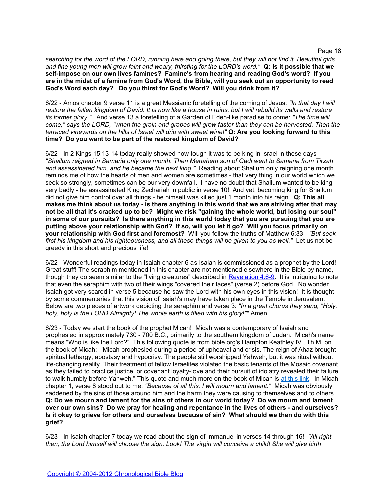*searching for the word of the LORD, running here and going there, but they will not find it. Beautiful girls and fine young men will grow faint and weary, thirsting for the LORD's word."* **Q: Is it possible that we self-impose on our own lives famines? Famine's from hearing and reading God's word? If you are in the midst of a famine from God's Word, the Bible, will you seek out an opportunity to read God's Word each day? Do you thirst for God's Word? Will you drink from it?**

6/22 - Amos chapter 9 verse 11 is a great Messianic foretelling of the coming of Jesus: *"In that day I will restore the fallen kingdom of David. It is now like a house in ruins, but I will rebuild its walls and restore its former glory."* And verse 13 a foretelling of a Garden of Eden-like paradise to come: *"The time will come," says the LORD, "when the grain and grapes will grow faster than they can be harvested. Then the terraced vineyards on the hills of Israel will drip with sweet wine!"* **Q: Are you looking forward to this time? Do you want to be part of the restored kingdom of David?**

6/22 - In 2 Kings 15:13-14 today really showed how tough it was to be king in Israel in these days - *"Shallum reigned in Samaria only one month. Then Menahem son of Gadi went to Samaria from Tirzah and assassinated him, and he became the next king."* Reading about Shallum only reigning one month reminds me of how the hearts of men and women are sometimes - that very thing in our world which we seek so strongly, sometimes can be our very downfall. I have no doubt that Shallum wanted to be king very badly - he assassinated King Zechariah in public in verse 10! And yet, becoming king for Shallum did not give him control over all things - he himself was killed just 1 month into his reign. **Q: This all makes me think about us today - is there anything in this world that we are striving after that may not be all that it's cracked up to be? Might we risk "gaining the whole world, but losing our soul" in some of our pursuits? Is there anything in this world today that you are pursuing that you are putting above your relationship with God? If so, will you let it go? Will you focus primarily on your relationship with God first and foremost?** Will you follow the truths of Matthew 6:33 - *"But seek first his kingdom and his righteousness, and all these things will be given to you as well."* Let us not be greedy in this short and precious life!

6/22 - Wonderful readings today in Isaiah chapter 6 as Isaiah is commissioned as a prophet by the Lord! Great stuff! The seraphim mentioned in this chapter are not mentioned elsewhere in the Bible by name, though they do seem similar to the "living creatures" described in [Revelation 4:6-9](http://www.biblegateway.com/passage/?search=Revelation+4:6-9). It is intriguing to note that even the seraphim with two of their wings "covered their faces" (verse 2) before God. No wonder Isaiah got very scared in verse 5 because he saw the Lord with his own eyes in this vision! It is thought by some commentaries that this vision of Isaiah's may have taken place in the Temple in Jerusalem. Below are two pieces of artwork depicting the seraphim and verse 3: *"In a great chorus they sang, "Holy, holy, holy is the LORD Almighty! The whole earth is filled with his glory!""* Amen...

6/23 - Today we start the book of the prophet Micah! Micah was a contemporary of Isaiah and prophesied in approximately 730 - 700 B.C., primarily to the southern kingdom of Judah. Micah's name means "Who is like the Lord?" This following quote is from bible.org's Hampton Keathley IV , Th.M. on the book of Micah: "Micah prophesied during a period of upheaval and crisis. The reign of Ahaz brought spiritual lethargy, apostasy and hypocrisy. The people still worshipped Yahweh, but it was ritual without life-changing reality. Their treatment of fellow Israelites violated the basic tenants of the Mosaic covenant as they failed to practice justice, or covenant loyalty-love and their pursuit of idolatry revealed their failure to walk humbly before Yahweh." This quote and much more on the book of Micah is [at](http://bible.org/page.php?page_id=973) [this](http://bible.org/page.php?page_id=973) [link](http://bible.org/page.php?page_id=973). In Micah chapter 1, verse 8 stood out to me: *"Because of all this, I will mourn and lament."* Micah was obviously saddened by the sins of those around him and the harm they were causing to themselves and to others. **Q: Do we mourn and lament for the sins of others in our world today? Do we mourn and lament over our own sins? Do we pray for healing and repentance in the lives of others - and ourselves? Is it okay to grieve for others and ourselves because of sin? What should we then do with this grief?**

6/23 - In Isaiah chapter 7 today we read about the sign of Immanuel in verses 14 through 16! *"All right then, the Lord himself will choose the sign. Look! The virgin will conceive a child! She will give birth*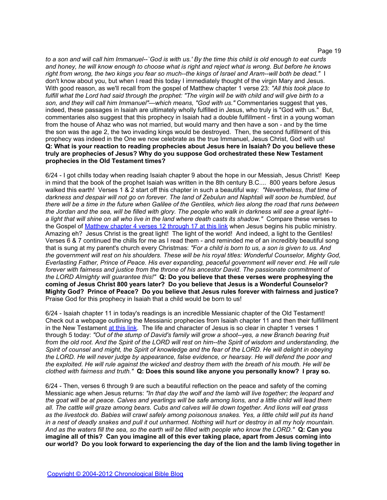*to a son and will call him Immanuel--`God is with us.' By the time this child is old enough to eat curds and honey, he will know enough to choose what is right and reject what is wrong. But before he knows right from wrong, the two kings you fear so much--the kings of Israel and Aram--will both be dead."* I don't know about you, but when I read this today I immediately thought of the virgin Mary and Jesus. With good reason, as we'll recall from the gospel of Matthew chapter 1 verse 23: *"All this took place to fulfill what the Lord had said through the prophet: "The virgin will be with child and will give birth to a son, and they will call him Immanuel"—which means, "God with us."* Commentaries suggest that yes, indeed, these passages in Isaiah are ultimately wholly fulfilled in Jesus, who truly is "God with us." But, commentaries also suggest that this prophecy in Isaiah had a double fulfillment - first in a young woman from the house of Ahaz who was not married, but would marry and then have a son - and by the time the son was the age 2, the two invading kings would be destroyed. Then, the second fulfillment of this prophecy was indeed in the One we now celebrate as the true Immanuel, Jesus Christ, God with us! **Q: What is your reaction to reading prophecies about Jesus here in Isaiah? Do you believe these truly are prophecies of Jesus? Why do you suppose God orchestrated these New Testament prophecies in the Old Testament times?**

6/24 - I got chills today when reading Isaiah chapter 9 about the hope in our Messiah, Jesus Christ! Keep in mind that the book of the prophet Isaiah was written in the 8th century B.C.... 800 years before Jesus walked this earth! Verses 1 & 2 start off this chapter in such a beautiful way: *"Nevertheless, that time of darkness and despair will not go on forever. The land of Zebulun and Naphtali will soon be humbled, but there will be a time in the future when Galilee of the Gentiles, which lies along the road that runs between the Jordan and the sea, will be filled with glory. The people who walk in darkness will see a great light- a light that will shine on all who live in the land where death casts its shadow."* Compare these verses to the Gospel of [Matthew](http://www.biblegateway.com/passage/?search=matthew+4:12-17) [chapter 4 verses 12 through 17 at](http://www.biblegateway.com/passage/?search=matthew+4:12-17) [this](http://www.biblegateway.com/passage/?search=matthew+4:12-17) [link](http://www.biblegateway.com/passage/?search=matthew+4:12-17) when Jesus begins his public ministry. Amazing eh? Jesus Christ is the great light! The light of the world! And indeed, a light to the Gentiles! Verses 6 & 7 continued the chills for me as I read them - and reminded me of an incredibly beautiful song that is sung at my parent's church every Christmas: *"For a child is born to us, a son is given to us. And the government will rest on his shoulders. These will be his royal titles: Wonderful Counselor, Mighty God, Everlasting Father, Prince of Peace. His ever expanding, peaceful government will never end. He will rule*  forever with fairness and justice from the throne of his ancestor David. The passionate commitment of *the LORD Almighty will guarantee this!"* **Q: Do you believe that these verses were prophesying the coming of Jesus Christ 800 years later? Do you believe that Jesus is a Wonderful Counselor? Mighty God? Prince of Peace? Do you believe that Jesus rules forever with fairness and justice?**  Praise God for this prophecy in Isaiah that a child would be born to us!

6/24 - Isaiah chapter 11 in today's readings is an incredible Messianic chapter of the Old Testament! Check out a webpage outlining the Messianic prophecies from Isaiah chapter 11 and then their fulfillment in the New Testament [at](http://www.messiahrevealed.org/isaiah11.html) [this](http://www.messiahrevealed.org/isaiah11.html) [link.](http://www.messiahrevealed.org/isaiah11.html) The life and character of Jesus is so clear in chapter 1 verses 1 through 5 today: *"Out of the stump of David's family will grow a shoot--yes, a new Branch bearing fruit from the old root. And the Spirit of the LORD will rest on him--the Spirit of wisdom and understanding, the Spirit of counsel and might, the Spirit of knowledge and the fear of the LORD. He will delight in obeying the LORD. He will never judge by appearance, false evidence, or hearsay. He will defend the poor and the exploited. He will rule against the wicked and destroy them with the breath of his mouth. He will be clothed with fairness and truth."* **Q: Does this sound like anyone you personally know? I pray so.**

6/24 - Then, verses 6 through 9 are such a beautiful reflection on the peace and safety of the coming Messianic age when Jesus returns: *"In that day the wolf and the lamb will live together; the leopard and the goat will be at peace. Calves and yearlings will be safe among lions, and a little child will lead them all. The cattle will graze among bears. Cubs and calves will lie down together. And lions will eat grass as the livestock do. Babies will crawl safely among poisonous snakes. Yes, a little child will put its hand in a nest of deadly snakes and pull it out unharmed. Nothing will hurt or destroy in all my holy mountain. And as the waters fill the sea, so the earth will be filled with people who know the LORD."* **Q: Can you imagine all of this? Can you imagine all of this ever taking place, apart from Jesus coming into our world? Do you look forward to experiencing the day of the lion and the lamb living together in**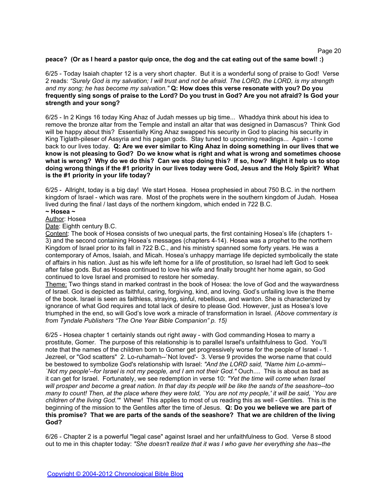# **peace? (Or as I heard a pastor quip once, the dog and the cat eating out of the same bowl! :)**

6/25 - Today Isaiah chapter 12 is a very short chapter. But it is a wonderful song of praise to God! Verse 2 reads: *"Surely God is my salvation; I will trust and not be afraid. The LORD, the LORD, is my strength and my song; he has become my salvation."* **Q: How does this verse resonate with you? Do you frequently sing songs of praise to the Lord? Do you trust in God? Are you not afraid? Is God your strength and your song?**

6/25 - In 2 Kings 16 today King Ahaz of Judah messes up big time... Whaddya think about his idea to remove the bronze altar from the Temple and install an altar that was designed in Damascus? Think God will be happy about this? Essentially King Ahaz swapped his security in God to placing his security in King Tiglath-pileser of Assyria and his pagan gods. Stay tuned to upcoming readings... Again - I come back to our lives today. **Q: Are we ever similar to King Ahaz in doing something in our lives that we know is not pleasing to God? Do we know what is right and what is wrong and sometimes choose what is wrong? Why do we do this? Can we stop doing this? If so, how? Might it help us to stop doing wrong things if the #1 priority in our lives today were God, Jesus and the Holy Spirit? What is the #1 priority in your life today?**

6/25 - Allright, today is a big day! We start Hosea. Hosea prophesied in about 750 B.C. in the northern kingdom of Israel - which was rare. Most of the prophets were in the southern kingdom of Judah. Hosea lived during the final / last days of the northern kingdom, which ended in 722 B.C.

#### **~ Hosea ~**

Author: Hosea

Date: Eighth century B.C.

Content: The book of Hosea consists of two unequal parts, the first containing Hosea's life (chapters 1- 3) and the second containing Hosea's messages (chapters 4-14). Hosea was a prophet to the northern Kingdom of Israel prior to its fall in 722 B.C., and his ministry spanned some forty years. He was a contemporary of Amos, Isaiah, and Micah. Hosea's unhappy marriage life depicted symbolically the state of affairs in his nation. Just as his wife left home for a life of prostitution, so Israel had left God to seek after false gods. But as Hosea continued to love his wife and finally brought her home again, so God continued to love Israel and promised to restore her someday.

Theme: Two things stand in marked contrast in the book of Hosea: the love of God and the waywardness of Israel. God is depicted as faithful, caring, forgiving, kind, and loving. God's unfailing love is the theme of the book. Israel is seen as faithless, straying, sinful, rebellious, and wanton. She is characterized by ignorance of what God requires and total lack of desire to please God. However, just as Hosea's love triumphed in the end, so will God's love work a miracle of transformation in Israel. *(Above commentary is from Tyndale Publishers "The One Year Bible Companion" p. 15)*

6/25 - Hosea chapter 1 certainly stands out right away - with God commanding Hosea to marry a prostitute, Gomer. The purpose of this relationship is to parallel Israel's unfaithfulness to God. You'll note that the names of the children born to Gomer get progressively worse for the people of Israel - 1. Jezreel, or "God scatters" 2. Lo-ruhamah--`Not loved'- 3. Verse 9 provides the worse name that could be bestowed to symbolize God's relationship with Israel: *"And the LORD said, "Name him Lo-ammi-- `Not my people'--for Israel is not my people, and I am not their God."* Ouch.... This is about as bad as it can get for Israel. Fortunately, we see redemption in verse 10: *"Yet the time will come when Israel will prosper and become a great nation. In that day its people will be like the sands of the seashore--too many to count! Then, at the place where they were told, `You are not my people,' it will be said, `You are children of the living God.'"* Whew! This applies to most of us reading this as well - Gentiles. This is the beginning of the mission to the Gentiles after the time of Jesus. **Q: Do you we believe we are part of this promise? That we are parts of the sands of the seashore? That we are children of the living God?**

6/26 - Chapter 2 is a powerful "legal case" against Israel and her unfaithfulness to God. Verse 8 stood out to me in this chapter today: *"She doesn't realize that it was I who gave her everything she has--the*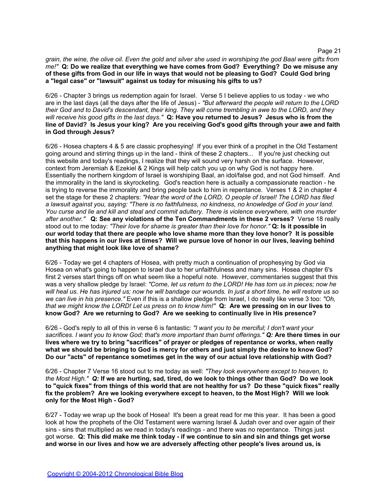*grain, the wine, the olive oil. Even the gold and silver she used in worshiping the god Baal were gifts from me!"* **Q: Do we realize that everything we have comes from God? Everything? Do we misuse any of these gifts from God in our life in ways that would not be pleasing to God? Could God bring a "legal case" or "lawsuit" against us today for misusing his gifts to us?**

6/26 - Chapter 3 brings us redemption again for Israel. Verse 5 I believe applies to us today - we who are in the last days (all the days after the life of Jesus) - *"But afterward the people will return to the LORD their God and to David's descendant, their king. They will come trembling in awe to the LORD, and they will receive his good gifts in the last days."* **Q: Have you returned to Jesus? Jesus who is from the line of David? Is Jesus your king? Are you receiving God's good gifts through your awe and faith in God through Jesus?**

6/26 - Hosea chapters 4 & 5 are classic prophesying! If you ever think of a prophet in the Old Testament going around and stirring things up in the land - think of these 2 chapters... If you're just checking out this website and today's readings, I realize that they will sound very harsh on the surface. However, context from Jeremiah & Ezekiel & 2 Kings will help catch you up on why God is not happy here. Essentially the northern kingdom of Israel is worshiping Baal, an idol/false god, and not God himself. And the immorality in the land is skyrocketing. God's reaction here is actually a compassionate reaction - he is trying to reverse the immorality and bring people back to him in repentance. Verses 1 & 2 in chapter 4 set the stage for these 2 chapters: *"Hear the word of the LORD, O people of Israel! The LORD has filed a lawsuit against you, saying: "There is no faithfulness, no kindness, no knowledge of God in your land. You curse and lie and kill and steal and commit adultery. There is violence everywhere, with one murder after another."* **Q: See any violations of the Ten Commandments in these 2 verses?** Verse 18 really stood out to me today: *"Their love for shame is greater than their love for honor."* **Q: Is it possible in our world today that there are people who love shame more than they love honor? It is possible that this happens in our lives at times? Will we pursue love of honor in our lives, leaving behind anything that might look like love of shame?**

6/26 - Today we get 4 chapters of Hosea, with pretty much a continuation of prophesying by God via Hosea on what's going to happen to Israel due to her unfaithfulness and many sins. Hosea chapter 6's first 2 verses start things off on what seem like a hopeful note. However, commentaries suggest that this was a very shallow pledge by Israel: *"Come, let us return to the LORD! He has torn us in pieces; now he will heal us. He has injured us; now he will bandage our wounds. In just a short time, he will restore us so we can live in his presence."* Even if this is a shallow pledge from Israel, I do really like verse 3 too: *"Oh, that we might know the LORD! Let us press on to know him!"* **Q: Are we pressing on in our lives to know God? Are we returning to God? Are we seeking to continually live in His presence?** 

6/26 - God's reply to all of this in verse 6 is fantastic: *"I want you to be merciful; I don't want your sacrifices. I want you to know God; that's more important than burnt offerings." Q:* **Are there times in our lives where we try to bring "sacrifices" of prayer or pledges of repentance or works, when really what we should be bringing to God is mercy for others and just simply the desire to know God? Do our "acts" of repentance sometimes get in the way of our actual love relationship with God?**

6/26 - Chapter 7 Verse 16 stood out to me today as well: *"They look everywhere except to heaven, to the Most High." Q:* **If we are hurting, sad, tired, do we look to things other than God? Do we look to "quick fixes" from things of this world that are not healthy for us? Do these "quick fixes" really fix the problem? Are we looking everywhere except to heaven, to the Most High? Will we look only for the Most High - God?**

6/27 - Today we wrap up the book of Hosea! It's been a great read for me this year. It has been a good look at how the prophets of the Old Testament were warning Israel & Judah over and over again of their sins - sins that multiplied as we read in today's readings - and there was no repentance. Things just got worse. **Q: This did make me think today - if we continue to sin and sin and things get worse and worse in our lives and how we are adversely affecting other people's lives around us, is**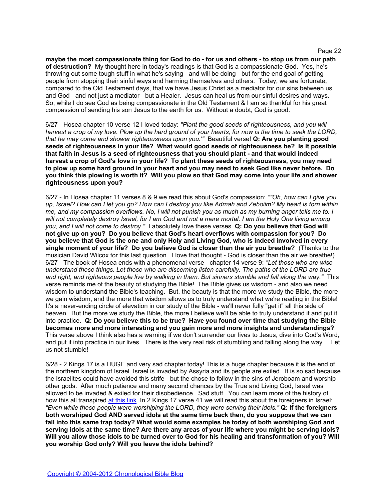**maybe the most compassionate thing for God to do - for us and others - to stop us from our path of destruction?** My thought here in today's readings is that God is a compassionate God. Yes, he's throwing out some tough stuff in what he's saying - and will be doing - but for the end goal of getting people from stopping their sinful ways and harming themselves and others. Today, we are fortunate, compared to the Old Testament days, that we have Jesus Christ as a mediator for our sins between us and God - and not just a mediator - but a Healer. Jesus can heal us from our sinful desires and ways. So, while I do see God as being compassionate in the Old Testament & I am so thankful for his great compassion of sending his son Jesus to the earth for us. Without a doubt, God is good.

6/27 - Hosea chapter 10 verse 12 I loved today: *"Plant the good seeds of righteousness, and you will harvest a crop of my love. Plow up the hard ground of your hearts, for now is the time to seek the LORD, that he may come and shower righteousness upon you.'"* Beautiful verse! **Q: Are you planting good seeds of righteousness in your life? What would good seeds of righteousness be? Is it possible that faith in Jesus is a seed of righteousness that you should plant - and that would indeed harvest a crop of God's love in your life? To plant these seeds of righteousness, you may need to plow up some hard ground in your heart and you may need to seek God like never before. Do you think this plowing is worth it? Will you plow so that God may come into your life and shower righteousness upon you?**

6/27 - In Hosea chapter 11 verses 8 & 9 we read this about God's compassion: *""Oh, how can I give you up, Israel? How can I let you go? How can I destroy you like Admah and Zeboiim? My heart is torn within me, and my compassion overflows. No, I will not punish you as much as my burning anger tells me to. I will not completely destroy Israel, for I am God and not a mere mortal. I am the Holy One living among you, and I will not come to destroy."* I absolutely love these verses. **Q: Do you believe that God will not give up on you? Do you believe that God's heart overflows with compassion for you? Do you believe that God is the one and only Holy and Living God, who is indeed involved in every single moment of your life? Do you believe God is closer than the air you breathe?** (Thanks to the musician David Wilcox for this last question. I love that thought - God is closer than the air we breathe!) 6/27 - The book of Hosea ends with a phenomenal verse - chapter 14 verse 9: *"Let those who are wise understand these things. Let those who are discerning listen carefully. The paths of the LORD are true and right, and righteous people live by walking in them. But sinners stumble and fall along the way."* This verse reminds me of the beauty of studying the Bible! The Bible gives us wisdom - and also we need wisdom to understand the Bible's teaching. But, the beauty is that the more we study the Bible, the more we gain wisdom, and the more that wisdom allows us to truly understand what we're reading in the Bible! It's a never-ending circle of elevation in our study of the Bible - we'll never fully "get it" all this side of heaven. But the more we study the Bible, the more I believe we'll be able to truly understand it and put it into practice. **Q: Do you believe this to be true? Have you found over time that studying the Bible becomes more and more interesting and you gain more and more insights and understandings?** This verse above I think also has a warning if we don't surrender our lives to Jesus, dive into God's Word, and put it into practice in our lives. There is the very real risk of stumbling and falling along the way... Let us not stumble!

6/28 - 2 Kings 17 is a HUGE and very sad chapter today! This is a huge chapter because it is the end of the northern kingdom of Israel. Israel is invaded by Assyria and its people are exiled. It is so sad because the Israelites could have avoided this strife - but the chose to follow in the sins of Jeroboam and worship other gods. After much patience and many second chances by the True and Living God, Israel was allowed to be invaded & exiled for their disobedience. Sad stuff. You can learn more of the history of how this all transpired [at](http://www.bible-history.com/destruction_of_israel/) [this](http://www.bible-history.com/destruction_of_israel/) [link.](http://www.bible-history.com/destruction_of_israel/) In 2 Kings 17 verse 41 we will read this about the foreigners in Israel: *"Even while these people were worshiping the LORD, they were serving their idols."* **Q: If the foreigners both worshiped God AND served idols at the same time back then, do you suppose that we can fall into this same trap today? What would some examples be today of both worshiping God and serving idols at the same time? Are there any areas of your life where you might be serving idols? Will you allow those idols to be turned over to God for his healing and transformation of you? Will you worship God only? Will you leave the idols behind?**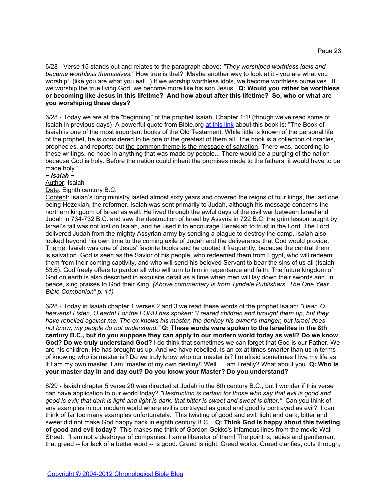6/28 - Verse 15 stands out and relates to the paragraph above: *"They worshiped worthless idols and became worthless themselves."* How true is that? Maybe another way to look at it - you are what you worship! (like you are what you eat...) If we worship worthless idols, we become worthless ourselves. If we worship the true living God, we become more like his son Jesus. **Q: Would you rather be worthless or becoming like Jesus in this lifetime? And how about after this lifetime? So, who or what are you worshiping these days?**

6/28 - Today we are at the "beginning" of the prophet Isaiah, Chapter 1:1! (though we've read some of Isaiah in previous days) A powerful quote from Bible.org [at](http://www.bible.org/page.php?page_id=2084) [this](http://www.bible.org/page.php?page_id=2084) [link](http://www.bible.org/page.php?page_id=2084) about this book is: "The Book of Isaiah is one of the most important books of the Old Testament. While little is known of the personal life of the prophet, he is considered to be one of the greatest of them all. The book is a collection of oracles, prophecies, and reports; but the common theme is the message of salvation. There was, according to these writings, no hope in anything that was made by people... There would be a purging of the nation because God is holy. Before the nation could inherit the promises made to the fathers, it would have to be made holy."

# *~ Isaiah ~*

# Author: Isaiah

#### Date: Eighth century B.C.

Content: Isaiah's long ministry lasted almost sixty years and covered the reigns of four kings, the last one being Hezekiah, the reformer. Isaiah was sent primarily to Judah, although his message concerns the northern kingdom of Israel as well. He lived through the awful days of the civil war between Israel and Judah in 734-732 B.C. and saw the destruction of Israel by Assyria in 722 B.C. the grim lesson taught by Israel's fall was not lost on Isaiah, and he used it to encourage Hezekiah to trust in the Lord. The Lord delivered Judah from the mighty Assyrian army by sending a plague to destroy the camp. Isaiah also looked beyond his own time to the coming exile of Judah and the deliverance that God would provide. Theme: Isaiah was one of Jesus' favorite books and he quoted it frequently, because the central them is salvation. God is seen as the Savior of his people, who redeemed them from Egypt, who will redeem them from their coming captivity, and who will send his beloved Servant to bear the sins of us all (Isaiah 53:6). God freely offers to pardon all who will turn to him in repentance and faith. The future kingdom of God on earth is also described in exquisite detail as a time when men will lay down their swords and, in peace, sing praises to God their King. *(Above commentary is from Tyndale Publishers "The One Year Bible Companion" p. 11)*

6/28 - Today in Isaiah chapter 1 verses 2 and 3 we read these words of the prophet Isaiah: *"Hear, O heavens! Listen, O earth! For the LORD has spoken: "I reared children and brought them up, but they have rebelled against me. The ox knows his master, the donkey his owner's manger, but Israel does not know, my people do not understand."* **Q: These words were spoken to the Israelites in the 8th century B.C., but do you suppose they can apply to our modern world today as well? Do we know God? Do we truly understand God?** I do think that sometimes we can forget that God is our Father. We are his children. He has brought us up. And we have rebelled. Is an ox at times smarter than us in terms of knowing who its master is? Do we truly know who our master is? I'm afraid sometimes I live my life as if I am my own master. I am "master of my own destiny!" Well. . . am I really? What about you. **Q: Who is your master day in and day out? Do you know your Master? Do you understand?**

6/29 - Isaiah chapter 5 verse 20 was directed at Judah in the 8th century B.C., but I wonder if this verse can have application to our world today? *"Destruction is certain for those who say that evil is good and good is evil; that dark is light and light is dark; that bitter is sweet and sweet is bitter."* Can you think of any examples in our modern world where evil is portrayed as good and good is portrayed as evil? I can think of far too many examples unfortunately. This twisting of good and evil, light and dark, bitter and sweet did not make God happy back in eighth century B.C. **Q: Think God is happy about this twisting of good and evil today?** This makes me think of Gordon Gekko's infamous lines from the movie Wall Street: "I am not a destroyer of companies. I am a liberator of them! The point is, ladies and gentleman, that greed -- for lack of a better word -- is good. Greed is right. Greed works. Greed clarifies, cuts through,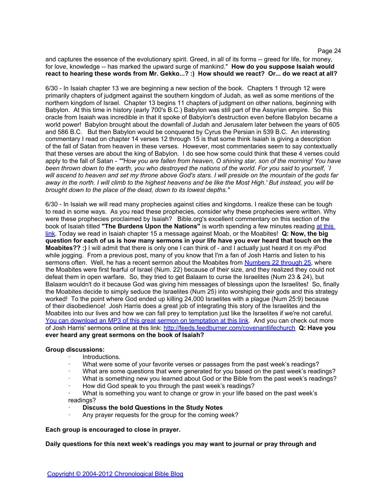and captures the essence of the evolutionary spirit. Greed, in all of its forms -- greed for life, for money, for love, knowledge -- has marked the upward surge of mankind." **How do you suppose Isaiah would react to hearing these words from Mr. Gekko...? :) How should we react? Or... do we react at all?**

6/30 - In Isaiah chapter 13 we are beginning a new section of the book. Chapters 1 through 12 were primarily chapters of judgment against the southern kingdom of Judah, as well as some mentions of the northern kingdom of Israel. Chapter 13 begins 11 chapters of judgment on other nations, beginning with Babylon. At this time in history (early 700's B.C.) Babylon was still part of the Assyrian empire. So this oracle from Isaiah was incredible in that it spoke of Babylon's destruction even before Babylon became a world power! Babylon brought about the downfall of Judah and Jerusalem later between the years of 605 and 586 B.C. But then Babylon would be conquered by Cyrus the Persian in 539 B.C. An interesting commentary I read on chapter 14 verses 12 through 15 is that some think Isaiah is giving a description of the fall of Satan from heaven in these verses. However, most commentaries seem to say contextually that these verses are about the king of Babylon. I do see how some could think that these 4 verses could apply to the fall of Satan - *""How you are fallen from heaven, O shining star, son of the morning! You have been thrown down to the earth, you who destroyed the nations of the world. For you said to yourself, `I will ascend to heaven and set my throne above God's stars. I will preside on the mountain of the gods far away in the north. I will climb to the highest heavens and be like the Most High.' But instead, you will be brought down to the place of the dead, down to its lowest depths."*

6/30 - In Isaiah we will read many prophecies against cities and kingdoms. I realize these can be tough to read in some ways. As you read these prophecies, consider why these prophecies were written. Why were these prophecies proclaimed by Isaiah? Bible.org's excellent commentary on this section of the book of Isaiah titled **"The Burdens Upon the Nations"** is worth spending a few minutes reading [at](http://www.bible.org/page.php?page_id=2091) [this](http://www.bible.org/page.php?page_id=2091) [link](http://www.bible.org/page.php?page_id=2091). Today we read in Isaiah chapter 15 a message against Moab, or the Moabites! **Q: Now, the big question for each of us is how many sermons in your life have you ever heard that touch on the Moabites?? :)** I will admit that there is only one I can think of - and I actually just heard it on my iPod while jogging. From a previous post, many of you know that I'm a fan of Josh Harris and listen to his sermons often. Well, he has a recent sermon about the Moabites from [Numbers 22 through 25](http://www.biblegateway.com/passage/?search=numbers+22-25), where the Moabites were first fearful of Israel (Num. 22) because of their size, and they realized they could not defeat them in open warfare. So, they tried to get Balaam to curse the Israelites (Num 23 & 24), but Balaam wouldn't do it because God was giving him messages of blessings upon the Israelites! So, finally the Moabites decide to simply seduce the Israelites (Num 25) into worshiping their gods and this strategy worked! To the point where God ended up killing 24,000 Israelites with a plague (Num 25:9) because of their disobedience! Josh Harris does a great job of integrating this story of the Israelites and the Moabite[s](http://www.covlifemedia.org/dl_dialog.php?filename=sunday_am/2007_03_25+1+Corinthians+Part+20+-+Harris.mp3) into our lives and h[ow](http://www.covlifemedia.org/dl_dialog.php?filename=sunday_am/2007_03_25+1+Corinthians+Part+20+-+Harris.mp3) we canfall pre[y](http://www.covlifemedia.org/dl_dialog.php?filename=sunday_am/2007_03_25+1+Corinthians+Part+20+-+Harris.mp3) to [t](http://www.covlifemedia.org/dl_dialog.php?filename=sunday_am/2007_03_25+1+Corinthians+Part+20+-+Harris.mp3)emptation just lik[e](http://www.covlifemedia.org/dl_dialog.php?filename=sunday_am/2007_03_25+1+Corinthians+Part+20+-+Harris.mp3) the Israelites if we're not careful. [You](http://www.covlifemedia.org/dl_dialog.php?filename=sunday_am/2007_03_25+1+Corinthians+Part+20+-+Harris.mp3) [can](http://www.covlifemedia.org/dl_dialog.php?filename=sunday_am/2007_03_25+1+Corinthians+Part+20+-+Harris.mp3) [download](http://www.covlifemedia.org/dl_dialog.php?filename=sunday_am/2007_03_25+1+Corinthians+Part+20+-+Harris.mp3) [an](http://www.covlifemedia.org/dl_dialog.php?filename=sunday_am/2007_03_25+1+Corinthians+Part+20+-+Harris.mp3) [MP3 of](http://www.covlifemedia.org/dl_dialog.php?filename=sunday_am/2007_03_25+1+Corinthians+Part+20+-+Harris.mp3) [this](http://www.covlifemedia.org/dl_dialog.php?filename=sunday_am/2007_03_25+1+Corinthians+Part+20+-+Harris.mp3) [great](http://www.covlifemedia.org/dl_dialog.php?filename=sunday_am/2007_03_25+1+Corinthians+Part+20+-+Harris.mp3) [sermon](http://www.covlifemedia.org/dl_dialog.php?filename=sunday_am/2007_03_25+1+Corinthians+Part+20+-+Harris.mp3) [on](http://www.covlifemedia.org/dl_dialog.php?filename=sunday_am/2007_03_25+1+Corinthians+Part+20+-+Harris.mp3) [temptation](http://www.covlifemedia.org/dl_dialog.php?filename=sunday_am/2007_03_25+1+Corinthians+Part+20+-+Harris.mp3) [at](http://www.covlifemedia.org/dl_dialog.php?filename=sunday_am/2007_03_25+1+Corinthians+Part+20+-+Harris.mp3) [this](http://www.covlifemedia.org/dl_dialog.php?filename=sunday_am/2007_03_25+1+Corinthians+Part+20+-+Harris.mp3) [link](http://www.covlifemedia.org/dl_dialog.php?filename=sunday_am/2007_03_25+1+Corinthians+Part+20+-+Harris.mp3). And you can check out more of Josh Harris' sermons online at this link: <http://feeds.feedburner.com/covenantlifechurch> **Q: Have you ever heard any great sermons on the book of Isaiah?**

#### **Group discussions:**

- · Introductions.
- What were some of your favorite verses or passages from the past week's readings?
- What are some questions that were generated for you based on the past week's readings?
- What is something new you learned about God or the Bible from the past week's readings?
- How did God speak to you through the past week's readings?
- · What is something you want to change or grow in your life based on the past week's readings?
- **Discuss the bold Questions in the Study Notes**
- Any prayer requests for the group for the coming week?

**Each group is encouraged to close in prayer.**

**Daily questions for this next week's readings you may want to journal or pray through and**